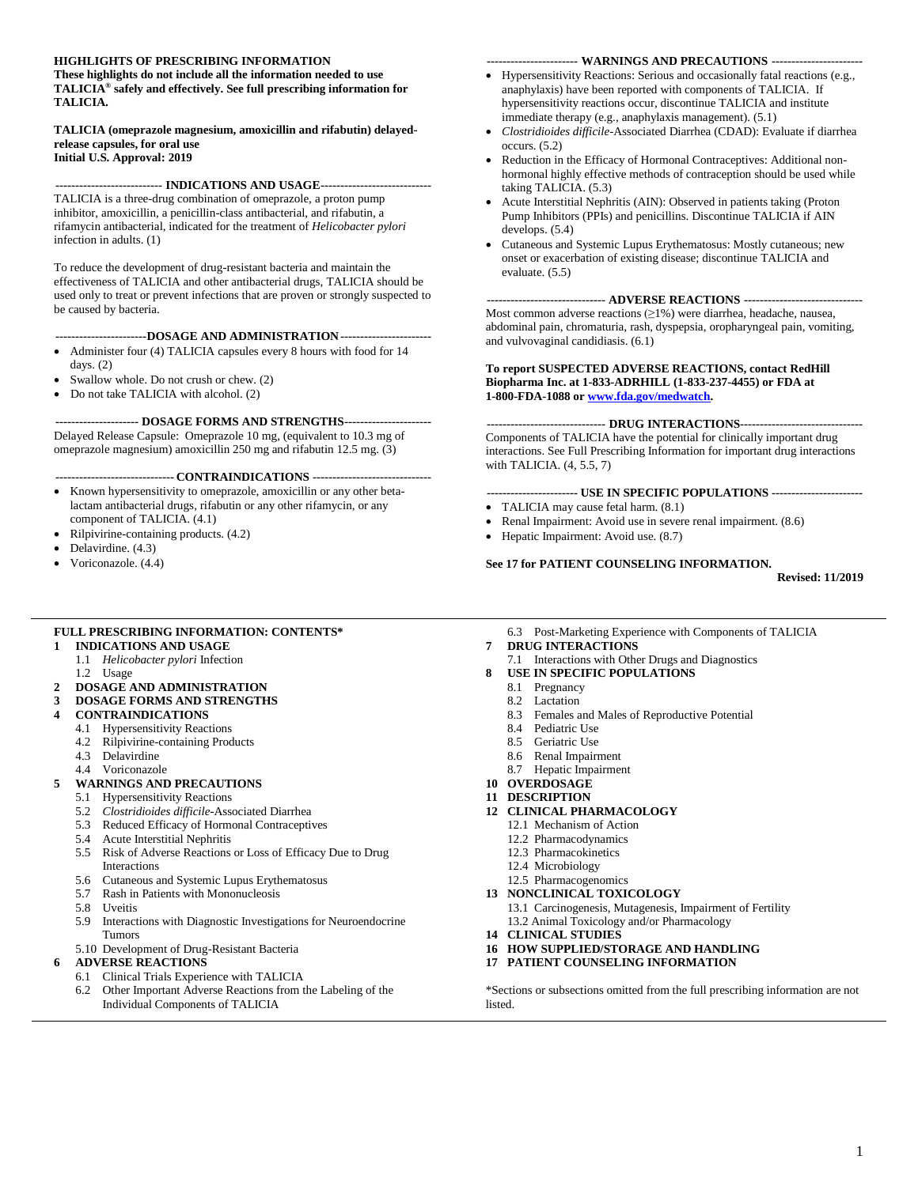#### **HIGHLIGHTS OF PRESCRIBING INFORMATION**

**These highlights do not include all the information needed to use TALICIA® safely and effectively. See full prescribing information for TALICIA.** 

#### **TALICIA (omeprazole magnesium, amoxicillin and rifabutin) delayedrelease capsules, for oral use Initial U.S. Approval: 2019**

**--------------------------- INDICATIONS AND USAGE----------------------------**

TALICIA is a three-drug combination of omeprazole, a proton pump inhibitor, amoxicillin, a penicillin-class antibacterial, and rifabutin, a rifamycin antibacterial, indicated for the treatment of *Helicobacter pylori* infection in adults. (1)

To reduce the development of drug-resistant bacteria and maintain the effectiveness of TALICIA and other antibacterial drugs, TALICIA should be used only to treat or prevent infections that are proven or strongly suspected to be caused by bacteria.

#### **-----------------------DOSAGE AND ADMINISTRATION-----------------------**

- Administer four (4) TALICIA capsules every 8 hours with food for 14 days. (2)
- Swallow whole. Do not crush or chew. (2)
- Do not take TALICIA with alcohol. (2)

**--------------------- DOSAGE FORMS AND STRENGTHS----------------------** Delayed Release Capsule: Omeprazole 10 mg, (equivalent to 10.3 mg of omeprazole magnesium) amoxicillin 250 mg and rifabutin 12.5 mg. (3)

**------------------------------ CONTRAINDICATIONS ------------------------------**

- Known hypersensitivity to omeprazole, amoxicillin or any other betalactam antibacterial drugs, rifabutin or any other rifamycin, or any component of TALICIA. (4.1)
- Rilpivirine-containing products. (4.2)
- Delavirdine.  $(4.3)$
- Voriconazole. (4.4)

#### **----------------------- WARNINGS AND PRECAUTIONS -----------------------**

- Hypersensitivity Reactions: Serious and occasionally fatal reactions (e.g., anaphylaxis) have been reported with components of TALICIA. If hypersensitivity reactions occur, discontinue TALICIA and institute immediate therapy (e.g., anaphylaxis management). (5.1)
- *Clostridioides difficile*-Associated Diarrhea (CDAD): Evaluate if diarrhea occurs. (5.2)
- Reduction in the Efficacy of Hormonal Contraceptives: Additional nonhormonal highly effective methods of contraception should be used while taking TALICIA. (5.3)
- Acute Interstitial Nephritis (AIN): Observed in patients taking (Proton Pump Inhibitors (PPIs) and penicillins. Discontinue TALICIA if AIN develops. (5.4)
- Cutaneous and Systemic Lupus Erythematosus: Mostly cutaneous; new onset or exacerbation of existing disease; discontinue TALICIA and evaluate. (5.5)

#### **------------------------------ ADVERSE REACTIONS ------------------------------**

Most common adverse reactions (≥1%) were diarrhea, headache, nausea, abdominal pain, chromaturia, rash, dyspepsia, oropharyngeal pain, vomiting, and vulvovaginal candidiasis. (6.1)

#### **To report SUSPECTED ADVERSE REACTIONS, contact RedHill Biopharma Inc. at 1-833-ADRHILL (1-833-237-4455) or FDA at 1-800-FDA-1088 o[r www.fda.gov/medwatch.](http://www.fda.gov/medwatch)**

#### **------------------------------ DRUG INTERACTIONS-------------------------------**

Components of TALICIA have the potential for clinically important drug interactions. See Full Prescribing Information for important drug interactions with TALICIA. (4, 5.5, 7)

#### **----------------------- USE IN SPECIFIC POPULATIONS -----------------------**

- TALICIA may cause fetal harm.  $(8.1)$
- Renal Impairment: Avoid use in severe renal impairment. (8.6)
- Hepatic Impairment: Avoid use. (8.7)

#### **See 17 for PATIENT COUNSELING INFORMATION.**

**Revised: 11/2019**

#### **FULL PRESCRIBING INFORMATION: CONTENTS\***

- **1 INDICATIONS AND USAGE**
- 1.1 *Helicobacter pylori* Infection
	- 1.2 Usage
- **2 DOSAGE AND ADMINISTRATION**
- **3 DOSAGE FORMS AND STRENGTHS**
- **4 CONTRAINDICATIONS**
	- 4.1 Hypersensitivity Reactions
	- 4.2 Rilpivirine-containing Products
	- 4.3 Delavirdine
	- 4.4 Voriconazole

#### **5 WARNINGS AND PRECAUTIONS**

- 5.1 Hypersensitivity Reactions
- 5.2 *Clostridioides difficile*-Associated Diarrhea
- 5.3 Reduced Efficacy of Hormonal Contraceptives
- 5.4 Acute Interstitial Nephritis
- 5.5 Risk of Adverse Reactions or Loss of Efficacy Due to Drug Interactions
- 5.6 Cutaneous and Systemic Lupus Erythematosus
- 5.7 Rash in Patients with Mononucleosis
- 5.8 Uveitis
- 5.9 Interactions with Diagnostic Investigations for Neuroendocrine Tumors
- 5.10 Development of Drug-Resistant Bacteria

#### **6 ADVERSE REACTIONS**

- 6.1 Clinical Trials Experience with TALICIA
- 6.2 Other Important Adverse Reactions from the Labeling of the Individual Components of TALICIA

6.3 Post-Marketing Experience with Components of TALICIA

#### **7 DRUG INTERACTIONS**

- 7.1 Interactions with Other Drugs and Diagnostics
- **8 USE IN SPECIFIC POPULATIONS**
	- 8.1 Pregnancy
	- 8.2 Lactation
	- 8.3 Females and Males of Reproductive Potential
	- 8.4 Pediatric Use
	- 8.5 Geriatric Use
	- 8.6 Renal Impairment
	- 8.7 Hepatic Impairment
- **10 OVERDOSAGE**
- **11 DESCRIPTION**
- **12 CLINICAL PHARMACOLOGY**
	- 12.1 Mechanism of Action
	- 12.2 Pharmacodynamics
	- 12.3 Pharmacokinetics
	- 12.4 Microbiology
	- 12.5 Pharmacogenomics
- **13 NONCLINICAL TOXICOLOGY**
	- 13.1 Carcinogenesis, Mutagenesis, Impairment of Fertility 13.2 Animal Toxicology and/or Pharmacology
- **14 CLINICAL STUDIES**
- **16 HOW SUPPLIED/STORAGE AND HANDLING**
- **17 PATIENT COUNSELING INFORMATION**

\*Sections or subsections omitted from the full prescribing information are not listed.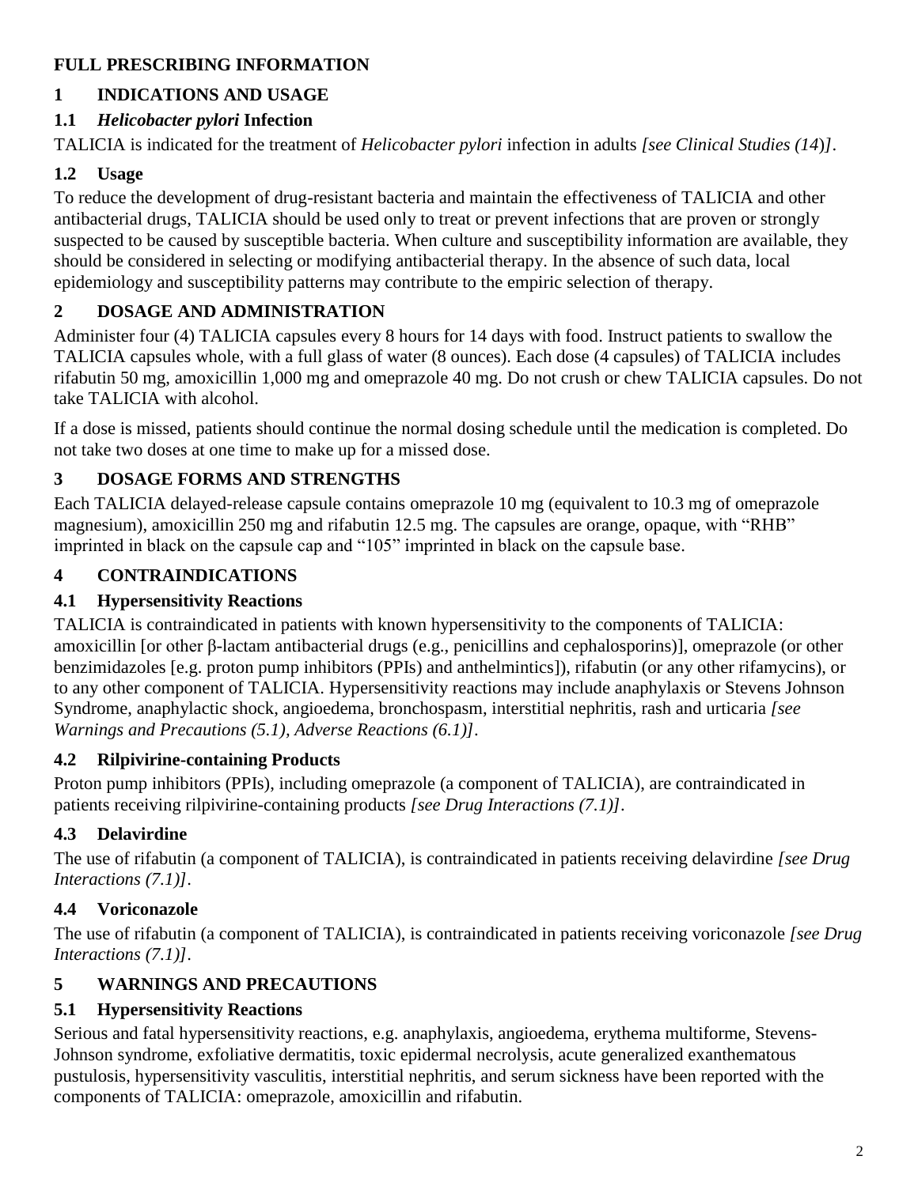# **FULL PRESCRIBING INFORMATION**

# **1 INDICATIONS AND USAGE**

# **1.1** *Helicobacter pylori* **Infection**

TALICIA is indicated for the treatment of *Helicobacter pylori* infection in adults *[see Clinical Studies (14*)*]*.

# **1.2 Usage**

To reduce the development of drug-resistant bacteria and maintain the effectiveness of TALICIA and other antibacterial drugs, TALICIA should be used only to treat or prevent infections that are proven or strongly suspected to be caused by susceptible bacteria. When culture and susceptibility information are available, they should be considered in selecting or modifying antibacterial therapy. In the absence of such data, local epidemiology and susceptibility patterns may contribute to the empiric selection of therapy.

# **2 DOSAGE AND ADMINISTRATION**

Administer four (4) TALICIA capsules every 8 hours for 14 days with food. Instruct patients to swallow the TALICIA capsules whole, with a full glass of water (8 ounces). Each dose (4 capsules) of TALICIA includes rifabutin 50 mg, amoxicillin 1,000 mg and omeprazole 40 mg. Do not crush or chew TALICIA capsules. Do not take TALICIA with alcohol.

If a dose is missed, patients should continue the normal dosing schedule until the medication is completed. Do not take two doses at one time to make up for a missed dose.

# **3 DOSAGE FORMS AND STRENGTHS**

Each TALICIA delayed-release capsule contains omeprazole 10 mg (equivalent to 10.3 mg of omeprazole magnesium), amoxicillin 250 mg and rifabutin 12.5 mg. The capsules are orange, opaque, with "RHB" imprinted in black on the capsule cap and "105" imprinted in black on the capsule base.

# **4 CONTRAINDICATIONS**

# **4.1 Hypersensitivity Reactions**

TALICIA is contraindicated in patients with known hypersensitivity to the components of TALICIA: amoxicillin [or other β-lactam antibacterial drugs (e.g., penicillins and cephalosporins)], omeprazole (or other benzimidazoles [e.g. proton pump inhibitors (PPIs) and anthelmintics]), rifabutin (or any other rifamycins), or to any other component of TALICIA. Hypersensitivity reactions may include anaphylaxis or Stevens Johnson Syndrome, anaphylactic shock, angioedema, bronchospasm, interstitial nephritis, rash and urticaria *[see Warnings and Precautions (5.1), Adverse Reactions (6.1)]*.

# **4.2 Rilpivirine-containing Products**

Proton pump inhibitors (PPIs), including omeprazole (a component of TALICIA), are contraindicated in patients receiving rilpivirine-containing products *[see Drug Interactions (7.1)]*.

# **4.3 Delavirdine**

The use of rifabutin (a component of TALICIA), is contraindicated in patients receiving delavirdine *[see Drug Interactions (7.1)]*.

# **4.4 Voriconazole**

The use of rifabutin (a component of TALICIA), is contraindicated in patients receiving voriconazole *[see Drug Interactions (7.1)]*.

# **5 WARNINGS AND PRECAUTIONS**

# **5.1 Hypersensitivity Reactions**

Serious and fatal hypersensitivity reactions, e.g. anaphylaxis, angioedema, erythema multiforme, Stevens-Johnson syndrome, exfoliative dermatitis, toxic epidermal necrolysis, acute generalized exanthematous pustulosis, hypersensitivity vasculitis, interstitial nephritis, and serum sickness have been reported with the components of TALICIA: omeprazole, amoxicillin and rifabutin.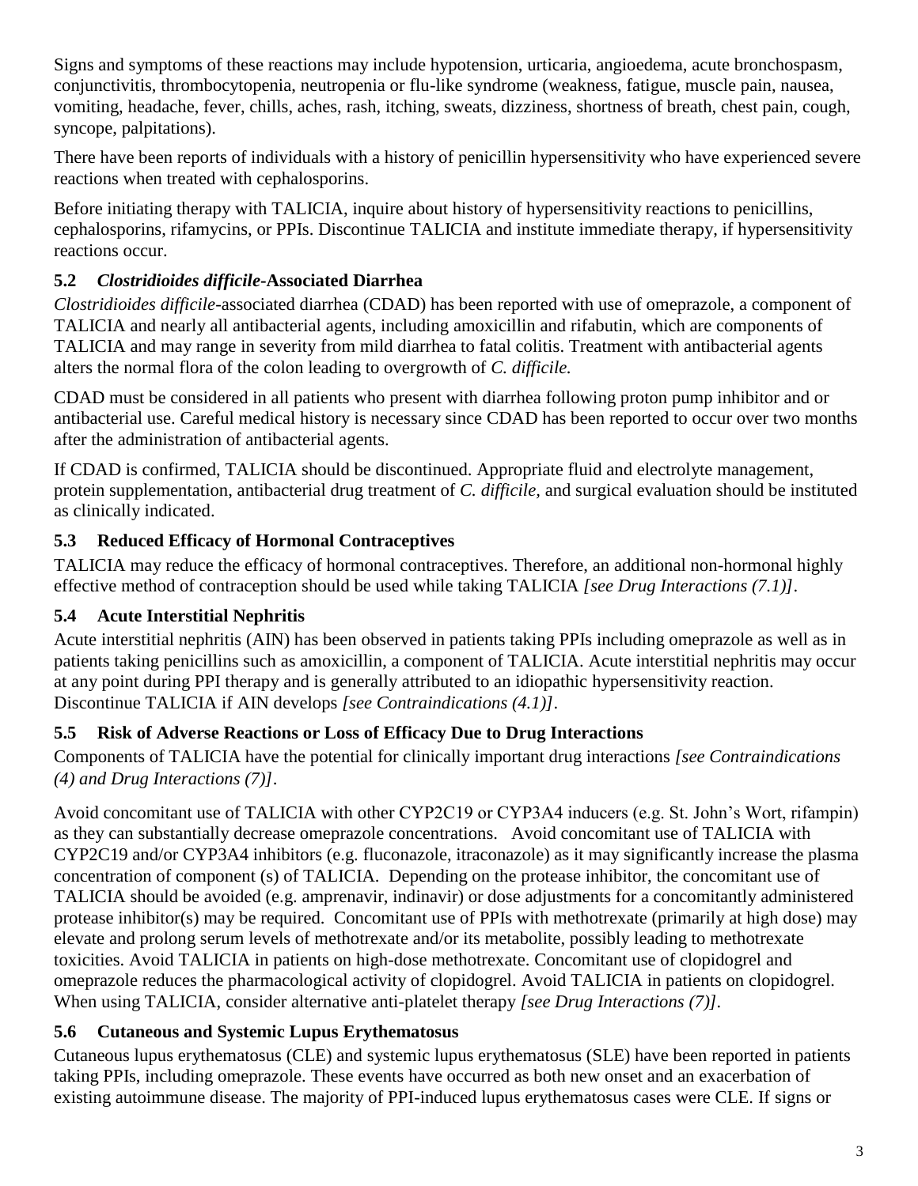Signs and symptoms of these reactions may include hypotension, urticaria, angioedema, acute bronchospasm, conjunctivitis, thrombocytopenia, neutropenia or flu-like syndrome (weakness, fatigue, muscle pain, nausea, vomiting, headache, fever, chills, aches, rash, itching, sweats, dizziness, shortness of breath, chest pain, cough, syncope, palpitations).

There have been reports of individuals with a history of penicillin hypersensitivity who have experienced severe reactions when treated with cephalosporins.

Before initiating therapy with TALICIA, inquire about history of hypersensitivity reactions to penicillins, cephalosporins, rifamycins, or PPIs. Discontinue TALICIA and institute immediate therapy, if hypersensitivity reactions occur.

# **5.2** *Clostridioides difficile***-Associated Diarrhea**

*Clostridioides difficile*-associated diarrhea (CDAD) has been reported with use of omeprazole, a component of TALICIA and nearly all antibacterial agents, including amoxicillin and rifabutin, which are components of TALICIA and may range in severity from mild diarrhea to fatal colitis. Treatment with antibacterial agents alters the normal flora of the colon leading to overgrowth of *C. difficile.*

CDAD must be considered in all patients who present with diarrhea following proton pump inhibitor and or antibacterial use. Careful medical history is necessary since CDAD has been reported to occur over two months after the administration of antibacterial agents.

If CDAD is confirmed, TALICIA should be discontinued. Appropriate fluid and electrolyte management, protein supplementation, antibacterial drug treatment of *C. difficile,* and surgical evaluation should be instituted as clinically indicated.

# **5.3 Reduced Efficacy of Hormonal Contraceptives**

TALICIA may reduce the efficacy of hormonal contraceptives. Therefore, an additional non-hormonal highly effective method of contraception should be used while taking TALICIA *[see Drug Interactions (7.1)]*.

# **5.4 Acute Interstitial Nephritis**

Acute interstitial nephritis (AIN) has been observed in patients taking PPIs including omeprazole as well as in patients taking penicillins such as amoxicillin, a component of TALICIA. Acute interstitial nephritis may occur at any point during PPI therapy and is generally attributed to an idiopathic hypersensitivity reaction. Discontinue TALICIA if AIN develops *[see Contraindications (4.1)]*.

# **5.5 Risk of Adverse Reactions or Loss of Efficacy Due to Drug Interactions**

Components of TALICIA have the potential for clinically important drug interactions *[see Contraindications (4) and Drug Interactions (7)]*.

Avoid concomitant use of TALICIA with other CYP2C19 or CYP3A4 inducers (e.g. St. John's Wort, rifampin) as they can substantially decrease omeprazole concentrations. Avoid concomitant use of TALICIA with CYP2C19 and/or CYP3A4 inhibitors (e.g. fluconazole, itraconazole) as it may significantly increase the plasma concentration of component (s) of TALICIA. Depending on the protease inhibitor, the concomitant use of TALICIA should be avoided (e.g. amprenavir, indinavir) or dose adjustments for a concomitantly administered protease inhibitor(s) may be required. Concomitant use of PPIs with methotrexate (primarily at high dose) may elevate and prolong serum levels of methotrexate and/or its metabolite, possibly leading to methotrexate toxicities. Avoid TALICIA in patients on high-dose methotrexate. Concomitant use of clopidogrel and omeprazole reduces the pharmacological activity of clopidogrel. Avoid TALICIA in patients on clopidogrel. When using TALICIA, consider alternative anti-platelet therapy *[see Drug Interactions (7)].*

# **5.6 Cutaneous and Systemic Lupus Erythematosus**

Cutaneous lupus erythematosus (CLE) and systemic lupus erythematosus (SLE) have been reported in patients taking PPIs, including omeprazole. These events have occurred as both new onset and an exacerbation of existing autoimmune disease. The majority of PPI-induced lupus erythematosus cases were CLE. If signs or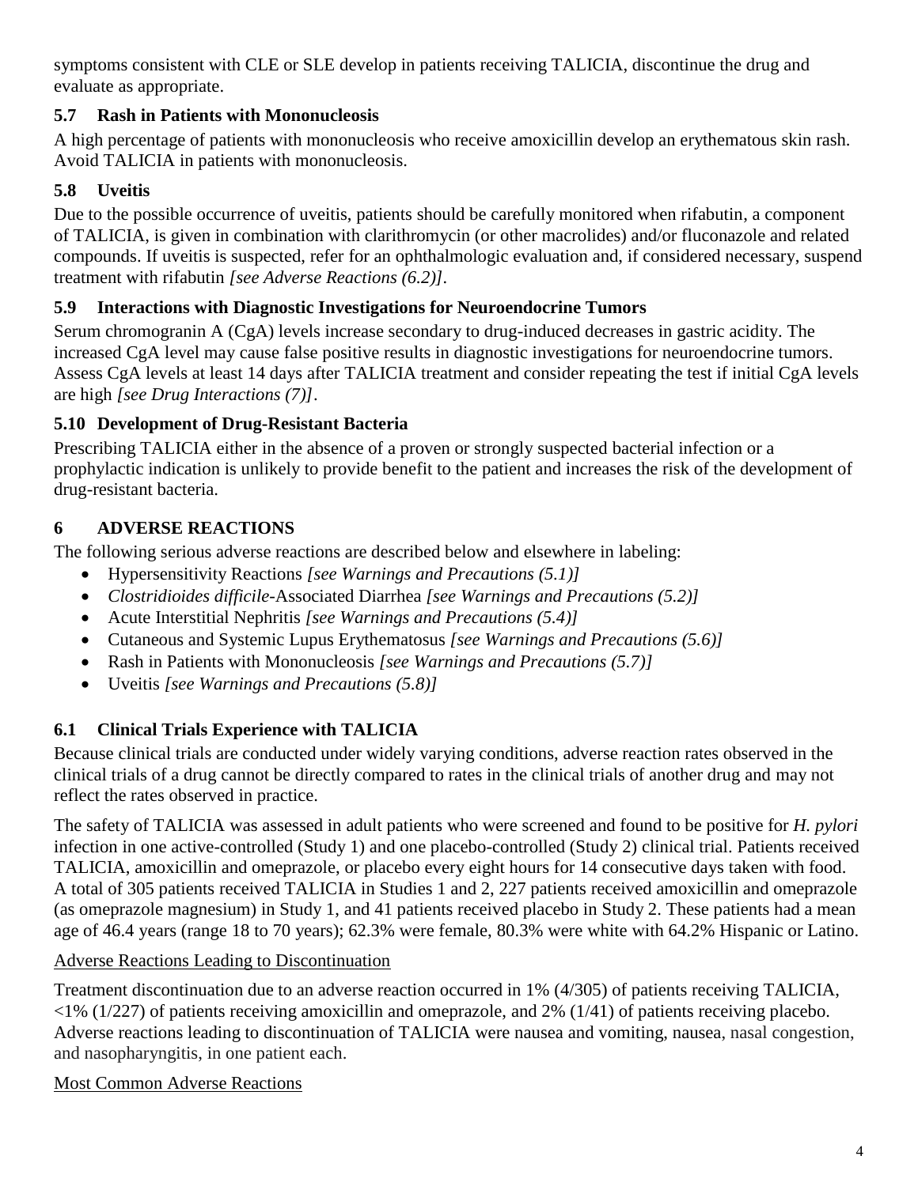symptoms consistent with CLE or SLE develop in patients receiving TALICIA, discontinue the drug and evaluate as appropriate.

# **5.7 Rash in Patients with Mononucleosis**

A high percentage of patients with mononucleosis who receive amoxicillin develop an erythematous skin rash. Avoid TALICIA in patients with mononucleosis.

# **5.8 Uveitis**

Due to the possible occurrence of uveitis, patients should be carefully monitored when rifabutin, a component of TALICIA, is given in combination with clarithromycin (or other macrolides) and/or fluconazole and related compounds. If uveitis is suspected, refer for an ophthalmologic evaluation and, if considered necessary, suspend treatment with rifabutin *[see Adverse Reactions (6.2)].*

# **5.9 Interactions with Diagnostic Investigations for Neuroendocrine Tumors**

Serum chromogranin A (CgA) levels increase secondary to drug-induced decreases in gastric acidity. The increased CgA level may cause false positive results in diagnostic investigations for neuroendocrine tumors. Assess CgA levels at least 14 days after TALICIA treatment and consider repeating the test if initial CgA levels are high *[see Drug Interactions (7)]*.

# **5.10 Development of Drug-Resistant Bacteria**

Prescribing TALICIA either in the absence of a proven or strongly suspected bacterial infection or a prophylactic indication is unlikely to provide benefit to the patient and increases the risk of the development of drug-resistant bacteria.

# **6 ADVERSE REACTIONS**

The following serious adverse reactions are described below and elsewhere in labeling:

- Hypersensitivity Reactions *[see Warnings and Precautions (5.1)]*
- *Clostridioides difficile*-Associated Diarrhea *[see Warnings and Precautions (5.2)]*
- Acute Interstitial Nephritis *[see Warnings and Precautions (5.4)]*
- Cutaneous and Systemic Lupus Erythematosus *[see Warnings and Precautions (5.6)]*
- Rash in Patients with Mononucleosis *[see Warnings and Precautions (5.7)]*
- Uveitis *[see Warnings and Precautions (5.8)]*

# **6.1 Clinical Trials Experience with TALICIA**

Because clinical trials are conducted under widely varying conditions, adverse reaction rates observed in the clinical trials of a drug cannot be directly compared to rates in the clinical trials of another drug and may not reflect the rates observed in practice.

The safety of TALICIA was assessed in adult patients who were screened and found to be positive for *H. pylori* infection in one active-controlled (Study 1) and one placebo-controlled (Study 2) clinical trial. Patients received TALICIA, amoxicillin and omeprazole, or placebo every eight hours for 14 consecutive days taken with food. A total of 305 patients received TALICIA in Studies 1 and 2, 227 patients received amoxicillin and omeprazole (as omeprazole magnesium) in Study 1, and 41 patients received placebo in Study 2. These patients had a mean age of 46.4 years (range 18 to 70 years); 62.3% were female, 80.3% were white with 64.2% Hispanic or Latino.

# Adverse Reactions Leading to Discontinuation

Treatment discontinuation due to an adverse reaction occurred in 1% (4/305) of patients receiving TALICIA,  $\langle 1\% (1/227)$  of patients receiving amoxicillin and omeprazole, and 2% (1/41) of patients receiving placebo. Adverse reactions leading to discontinuation of TALICIA were nausea and vomiting, nausea, nasal congestion, and nasopharyngitis, in one patient each.

Most Common Adverse Reactions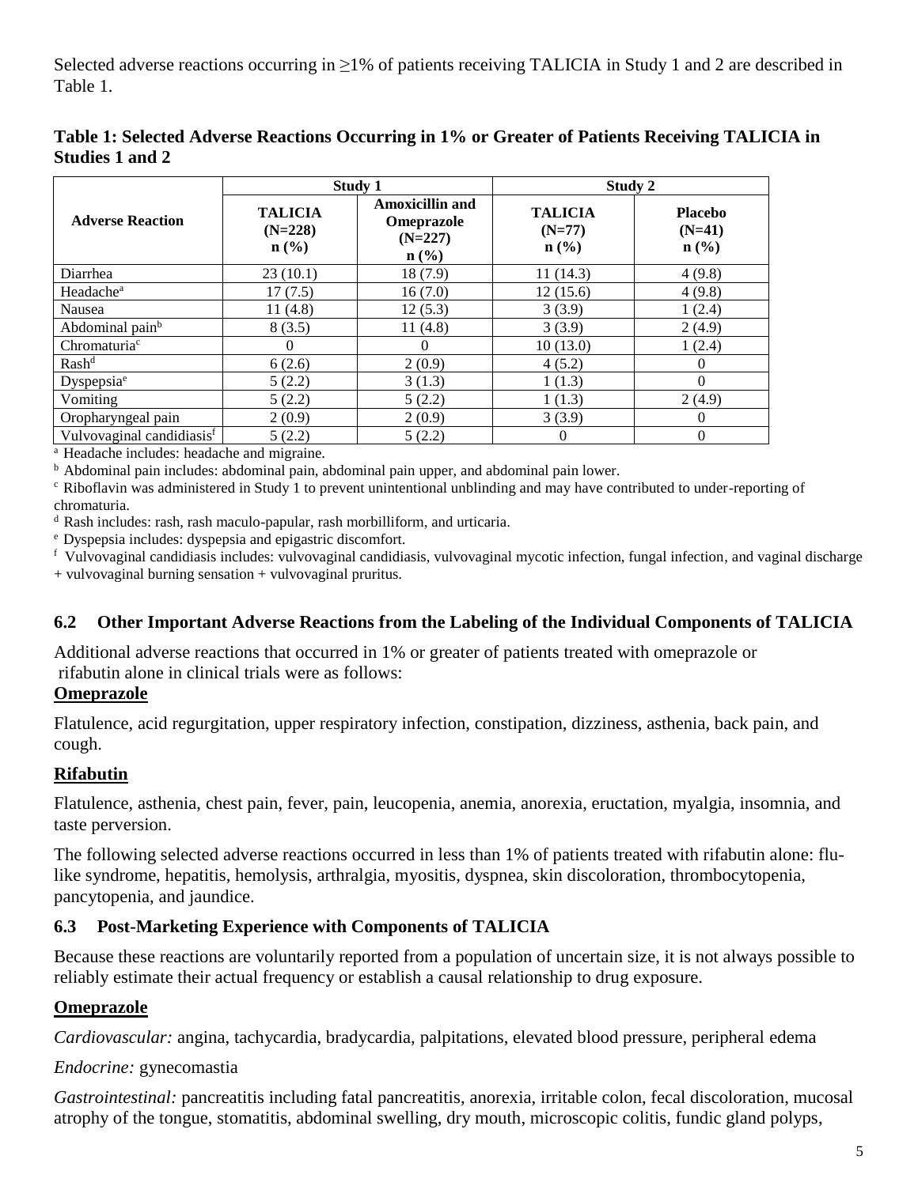Selected adverse reactions occurring in ≥1% of patients receiving TALICIA in Study 1 and 2 are described in Table 1.

|                                       | Study 1                                                    |                                                                              | Study 2                                                   |                                                           |  |
|---------------------------------------|------------------------------------------------------------|------------------------------------------------------------------------------|-----------------------------------------------------------|-----------------------------------------------------------|--|
| <b>Adverse Reaction</b>               | <b>TALICIA</b><br>$(N=228)$<br>$n\left(\frac{0}{0}\right)$ | <b>Amoxicillin and</b><br><b>Omeprazole</b><br>$(N=227)$<br>$\mathbf{n}(\%)$ | <b>TALICIA</b><br>$(N=77)$<br>$n\left(\frac{0}{0}\right)$ | <b>Placebo</b><br>$(N=41)$<br>$n\left(\frac{0}{0}\right)$ |  |
| Diarrhea                              | 23(10.1)                                                   | 18 (7.9)                                                                     | 11(14.3)                                                  | 4(9.8)                                                    |  |
| Headache <sup>a</sup>                 | 17(7.5)                                                    | 16(7.0)                                                                      | 12(15.6)                                                  | 4(9.8)                                                    |  |
| Nausea                                | 11(4.8)                                                    | 12(5.3)                                                                      | 3(3.9)                                                    | 1(2.4)                                                    |  |
| Abdominal pain <sup>b</sup>           | 8(3.5)                                                     | 11(4.8)                                                                      | 3(3.9)                                                    | 2(4.9)                                                    |  |
| Chromaturia <sup>c</sup>              | $\Omega$                                                   | $\Omega$                                                                     | 10(13.0)                                                  | 1(2.4)                                                    |  |
| Rash <sup>d</sup>                     | 6(2.6)                                                     | 2(0.9)                                                                       | 4(5.2)                                                    | 0                                                         |  |
| Dyspepsia <sup>e</sup>                | 5(2.2)                                                     | 3(1.3)                                                                       | 1(1.3)                                                    | $\Omega$                                                  |  |
| Vomiting                              | 5(2.2)                                                     | 5(2.2)                                                                       | 1(1.3)                                                    | 2(4.9)                                                    |  |
| Oropharyngeal pain                    | 2(0.9)                                                     | 2(0.9)                                                                       | 3(3.9)                                                    | $\theta$                                                  |  |
| Vulvovaginal candidiasis <sup>f</sup> | 5(2.2)                                                     | 5(2.2)                                                                       | 0                                                         | $\mathbf{0}$                                              |  |

**Table 1: Selected Adverse Reactions Occurring in 1% or Greater of Patients Receiving TALICIA in Studies 1 and 2**

<sup>a</sup> Headache includes: headache and migraine.

<sup>b</sup> Abdominal pain includes: abdominal pain, abdominal pain upper, and abdominal pain lower.

 $c$  Riboflavin was administered in Study 1 to prevent unintentional unblinding and may have contributed to under-reporting of chromaturia.

<sup>d</sup> Rash includes: rash, rash maculo-papular, rash morbilliform, and urticaria.

<sup>e</sup> Dyspepsia includes: dyspepsia and epigastric discomfort.

f Vulvovaginal candidiasis includes: vulvovaginal candidiasis, vulvovaginal mycotic infection, fungal infection, and vaginal discharge

+ vulvovaginal burning sensation + vulvovaginal pruritus.

## **6.2 Other Important Adverse Reactions from the Labeling of the Individual Components of TALICIA**

Additional adverse reactions that occurred in 1% or greater of patients treated with omeprazole or rifabutin alone in clinical trials were as follows:

### **Omeprazole**

Flatulence, acid regurgitation, upper respiratory infection, constipation, dizziness, asthenia, back pain, and cough.

## **Rifabutin**

Flatulence, asthenia, chest pain, fever, pain, leucopenia, anemia, anorexia, eructation, myalgia, insomnia, and taste perversion.

The following selected adverse reactions occurred in less than 1% of patients treated with rifabutin alone: flulike syndrome, hepatitis, hemolysis, arthralgia, myositis, dyspnea, skin discoloration, thrombocytopenia, pancytopenia, and jaundice.

## **6.3 Post-Marketing Experience with Components of TALICIA**

Because these reactions are voluntarily reported from a population of uncertain size, it is not always possible to reliably estimate their actual frequency or establish a causal relationship to drug exposure.

## **Omeprazole**

*Cardiovascular:* angina, tachycardia, bradycardia, palpitations, elevated blood pressure, peripheral edema

## *Endocrine:* gynecomastia

*Gastrointestinal:* pancreatitis including fatal pancreatitis, anorexia, irritable colon, fecal discoloration, mucosal atrophy of the tongue, stomatitis, abdominal swelling, dry mouth, microscopic colitis, fundic gland polyps,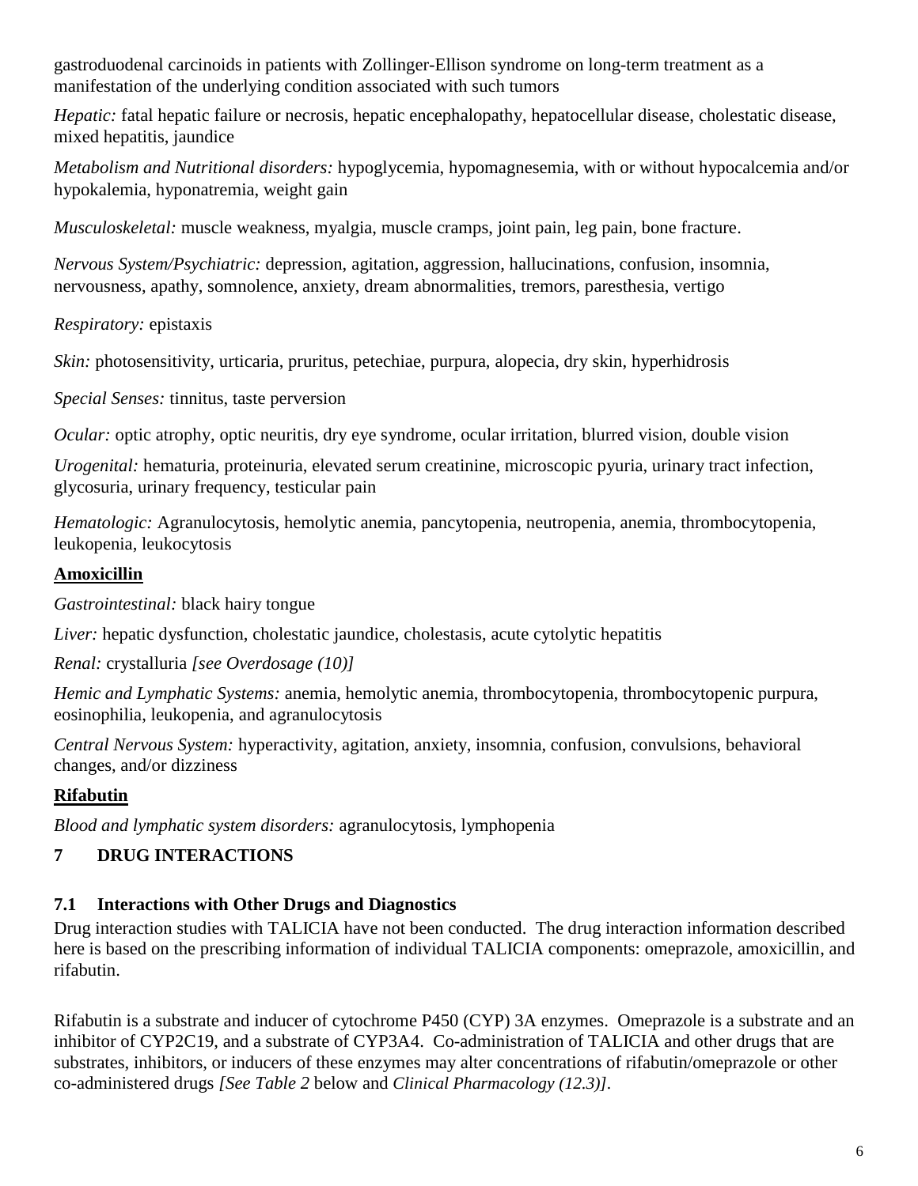gastroduodenal carcinoids in patients with Zollinger-Ellison syndrome on long-term treatment as a manifestation of the underlying condition associated with such tumors

*Hepatic:* fatal hepatic failure or necrosis, hepatic encephalopathy, hepatocellular disease, cholestatic disease, mixed hepatitis, jaundice

*Metabolism and Nutritional disorders:* hypoglycemia, hypomagnesemia, with or without hypocalcemia and/or hypokalemia, hyponatremia, weight gain

*Musculoskeletal:* muscle weakness, myalgia, muscle cramps, joint pain, leg pain, bone fracture.

*Nervous System/Psychiatric:* depression, agitation, aggression, hallucinations, confusion, insomnia, nervousness, apathy, somnolence, anxiety, dream abnormalities, tremors, paresthesia, vertigo

*Respiratory:* epistaxis

*Skin:* photosensitivity, urticaria, pruritus, petechiae, purpura, alopecia, dry skin, hyperhidrosis

*Special Senses:* tinnitus, taste perversion

*Ocular:* optic atrophy, optic neuritis, dry eye syndrome, ocular irritation, blurred vision, double vision

*Urogenital:* hematuria, proteinuria, elevated serum creatinine, microscopic pyuria, urinary tract infection, glycosuria, urinary frequency, testicular pain

*Hematologic:* Agranulocytosis, hemolytic anemia, pancytopenia, neutropenia, anemia, thrombocytopenia, leukopenia, leukocytosis

## **Amoxicillin**

*Gastrointestinal:* black hairy tongue

*Liver:* hepatic dysfunction, cholestatic jaundice, cholestasis, acute cytolytic hepatitis

*Renal:* crystalluria *[see Overdosage (10)]*

*Hemic and Lymphatic Systems:* anemia, hemolytic anemia, thrombocytopenia, thrombocytopenic purpura, eosinophilia, leukopenia, and agranulocytosis

*Central Nervous System:* hyperactivity, agitation, anxiety, insomnia, confusion, convulsions, behavioral changes, and/or dizziness

## **Rifabutin**

*Blood and lymphatic system disorders:* agranulocytosis, lymphopenia

## **7 DRUG INTERACTIONS**

## **7.1 Interactions with Other Drugs and Diagnostics**

Drug interaction studies with TALICIA have not been conducted. The drug interaction information described here is based on the prescribing information of individual TALICIA components: omeprazole, amoxicillin, and rifabutin.

Rifabutin is a substrate and inducer of cytochrome P450 (CYP) 3A enzymes. Omeprazole is a substrate and an inhibitor of CYP2C19, and a substrate of CYP3A4. Co-administration of TALICIA and other drugs that are substrates, inhibitors, or inducers of these enzymes may alter concentrations of rifabutin/omeprazole or other co-administered drugs *[See Table 2* below and *Clinical Pharmacology (12.3)].*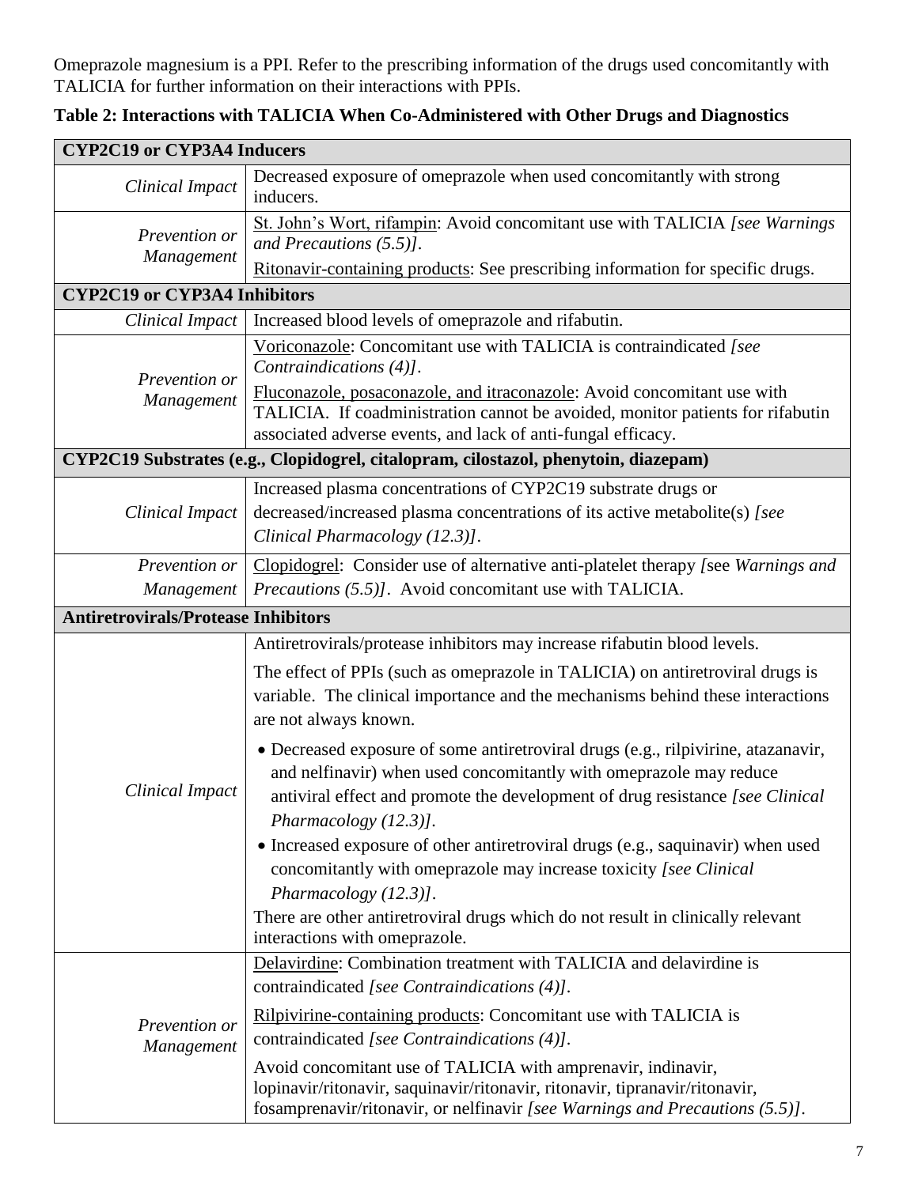Omeprazole magnesium is a PPI. Refer to the prescribing information of the drugs used concomitantly with TALICIA for further information on their interactions with PPIs.

| <b>CYP2C19 or CYP3A4 Inducers</b>          |                                                                                                                                                                                                                                                                                                                                                           |  |  |
|--------------------------------------------|-----------------------------------------------------------------------------------------------------------------------------------------------------------------------------------------------------------------------------------------------------------------------------------------------------------------------------------------------------------|--|--|
| <b>Clinical Impact</b>                     | Decreased exposure of omeprazole when used concomitantly with strong<br>inducers.                                                                                                                                                                                                                                                                         |  |  |
| Prevention or<br>Management                | St. John's Wort, rifampin: Avoid concomitant use with TALICIA [see Warnings]<br>and Precautions $(5.5)$ ].                                                                                                                                                                                                                                                |  |  |
|                                            | Ritonavir-containing products: See prescribing information for specific drugs.                                                                                                                                                                                                                                                                            |  |  |
| <b>CYP2C19 or CYP3A4 Inhibitors</b>        |                                                                                                                                                                                                                                                                                                                                                           |  |  |
| <b>Clinical Impact</b>                     | Increased blood levels of omeprazole and rifabutin.                                                                                                                                                                                                                                                                                                       |  |  |
| Prevention or                              | Voriconazole: Concomitant use with TALICIA is contraindicated [see<br>Contraindications (4)].                                                                                                                                                                                                                                                             |  |  |
| Management                                 | Fluconazole, posaconazole, and itraconazole: Avoid concomitant use with<br>TALICIA. If coadministration cannot be avoided, monitor patients for rifabutin<br>associated adverse events, and lack of anti-fungal efficacy.                                                                                                                                 |  |  |
|                                            | CYP2C19 Substrates (e.g., Clopidogrel, citalopram, cilostazol, phenytoin, diazepam)                                                                                                                                                                                                                                                                       |  |  |
| <b>Clinical Impact</b>                     | Increased plasma concentrations of CYP2C19 substrate drugs or<br>decreased/increased plasma concentrations of its active metabolite(s) [see<br>Clinical Pharmacology (12.3)].                                                                                                                                                                             |  |  |
| Prevention or                              | Clopidogrel: Consider use of alternative anti-platelet therapy [see Warnings and                                                                                                                                                                                                                                                                          |  |  |
| Management                                 | <i>Precautions (5.5)].</i> Avoid concomitant use with TALICIA.                                                                                                                                                                                                                                                                                            |  |  |
| <b>Antiretrovirals/Protease Inhibitors</b> |                                                                                                                                                                                                                                                                                                                                                           |  |  |
|                                            | Antiretrovirals/protease inhibitors may increase rifabutin blood levels.<br>The effect of PPIs (such as omeprazole in TALICIA) on antiretroviral drugs is<br>variable. The clinical importance and the mechanisms behind these interactions<br>are not always known.<br>• Decreased exposure of some antiretroviral drugs (e.g., rilpivirine, atazanavir, |  |  |
| Clinical Impact                            | and nelfinavir) when used concomitantly with omeprazole may reduce<br>antiviral effect and promote the development of drug resistance [see Clinical<br>Pharmacology (12.3)].<br>• Increased exposure of other antiretroviral drugs (e.g., saquinavir) when used                                                                                           |  |  |
|                                            | concomitantly with omeprazole may increase toxicity [see Clinical<br>Pharmacology (12.3)].<br>There are other antiretroviral drugs which do not result in clinically relevant<br>interactions with omeprazole.                                                                                                                                            |  |  |
|                                            | Delavirdine: Combination treatment with TALICIA and delavirdine is<br>contraindicated [see Contraindications (4)].                                                                                                                                                                                                                                        |  |  |
| Prevention or<br>Management                | Rilpivirine-containing products: Concomitant use with TALICIA is<br>contraindicated [see Contraindications (4)].                                                                                                                                                                                                                                          |  |  |
|                                            | Avoid concomitant use of TALICIA with amprenavir, indinavir,<br>lopinavir/ritonavir, saquinavir/ritonavir, ritonavir, tipranavir/ritonavir,<br>fosamprenavir/ritonavir, or nelfinavir [see Warnings and Precautions (5.5)].                                                                                                                               |  |  |

**Table 2: Interactions with TALICIA When Co-Administered with Other Drugs and Diagnostics**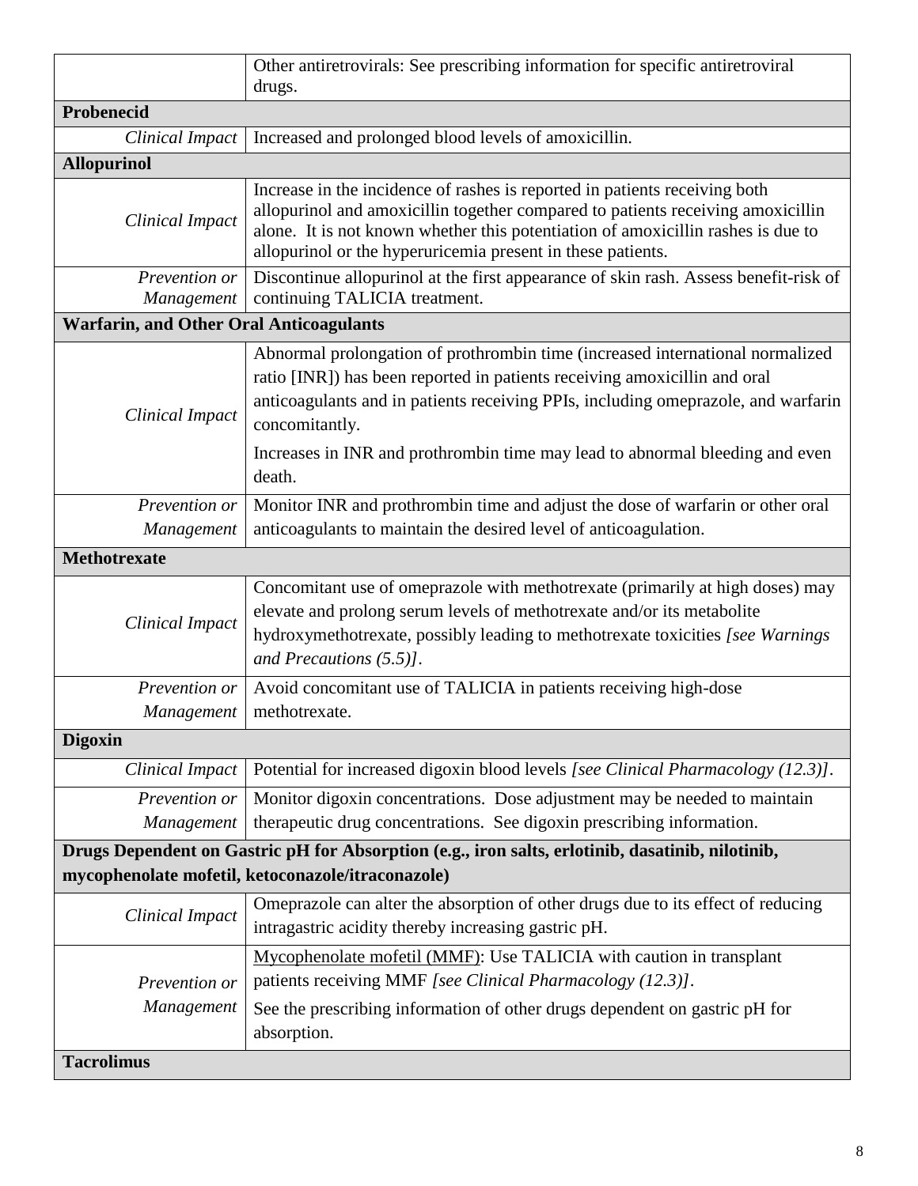|                                                  | Other antiretrovirals: See prescribing information for specific antiretroviral<br>drugs.                                                                                                                                                                                                                                                                    |
|--------------------------------------------------|-------------------------------------------------------------------------------------------------------------------------------------------------------------------------------------------------------------------------------------------------------------------------------------------------------------------------------------------------------------|
| Probenecid                                       |                                                                                                                                                                                                                                                                                                                                                             |
| <b>Clinical Impact</b>                           | Increased and prolonged blood levels of amoxicillin.                                                                                                                                                                                                                                                                                                        |
| <b>Allopurinol</b>                               |                                                                                                                                                                                                                                                                                                                                                             |
| <b>Clinical Impact</b>                           | Increase in the incidence of rashes is reported in patients receiving both<br>allopurinol and amoxicillin together compared to patients receiving amoxicillin<br>alone. It is not known whether this potentiation of amoxicillin rashes is due to<br>allopurinol or the hyperuricemia present in these patients.                                            |
| Prevention or<br>Management                      | Discontinue allopurinol at the first appearance of skin rash. Assess benefit-risk of<br>continuing TALICIA treatment.                                                                                                                                                                                                                                       |
| <b>Warfarin, and Other Oral Anticoagulants</b>   |                                                                                                                                                                                                                                                                                                                                                             |
| <b>Clinical Impact</b>                           | Abnormal prolongation of prothrombin time (increased international normalized<br>ratio [INR]) has been reported in patients receiving amoxicillin and oral<br>anticoagulants and in patients receiving PPIs, including omeprazole, and warfarin<br>concomitantly.<br>Increases in INR and prothrombin time may lead to abnormal bleeding and even<br>death. |
| Prevention or<br>Management                      | Monitor INR and prothrombin time and adjust the dose of warfarin or other oral<br>anticoagulants to maintain the desired level of anticoagulation.                                                                                                                                                                                                          |
| <b>Methotrexate</b>                              |                                                                                                                                                                                                                                                                                                                                                             |
| <b>Clinical Impact</b>                           | Concomitant use of omeprazole with methotrexate (primarily at high doses) may<br>elevate and prolong serum levels of methotrexate and/or its metabolite<br>hydroxymethotrexate, possibly leading to methotrexate toxicities [see Warnings<br>and Precautions $(5.5)$ ].                                                                                     |
| Prevention or<br>Management                      | Avoid concomitant use of TALICIA in patients receiving high-dose<br>methotrexate.                                                                                                                                                                                                                                                                           |
| <b>Digoxin</b>                                   |                                                                                                                                                                                                                                                                                                                                                             |
| Clinical Impact                                  | Potential for increased digoxin blood levels [see Clinical Pharmacology (12.3)].                                                                                                                                                                                                                                                                            |
| Prevention or                                    | Monitor digoxin concentrations. Dose adjustment may be needed to maintain                                                                                                                                                                                                                                                                                   |
| Management                                       | therapeutic drug concentrations. See digoxin prescribing information.                                                                                                                                                                                                                                                                                       |
|                                                  | Drugs Dependent on Gastric pH for Absorption (e.g., iron salts, erlotinib, dasatinib, nilotinib,<br>mycophenolate mofetil, ketoconazole/itraconazole)                                                                                                                                                                                                       |
| <b>Clinical Impact</b>                           | Omeprazole can alter the absorption of other drugs due to its effect of reducing<br>intragastric acidity thereby increasing gastric pH.                                                                                                                                                                                                                     |
| Prevention or<br>Management<br><b>Tacrolimus</b> | Mycophenolate mofetil (MMF): Use TALICIA with caution in transplant<br>patients receiving MMF [see Clinical Pharmacology (12.3)].<br>See the prescribing information of other drugs dependent on gastric pH for<br>absorption.                                                                                                                              |
|                                                  |                                                                                                                                                                                                                                                                                                                                                             |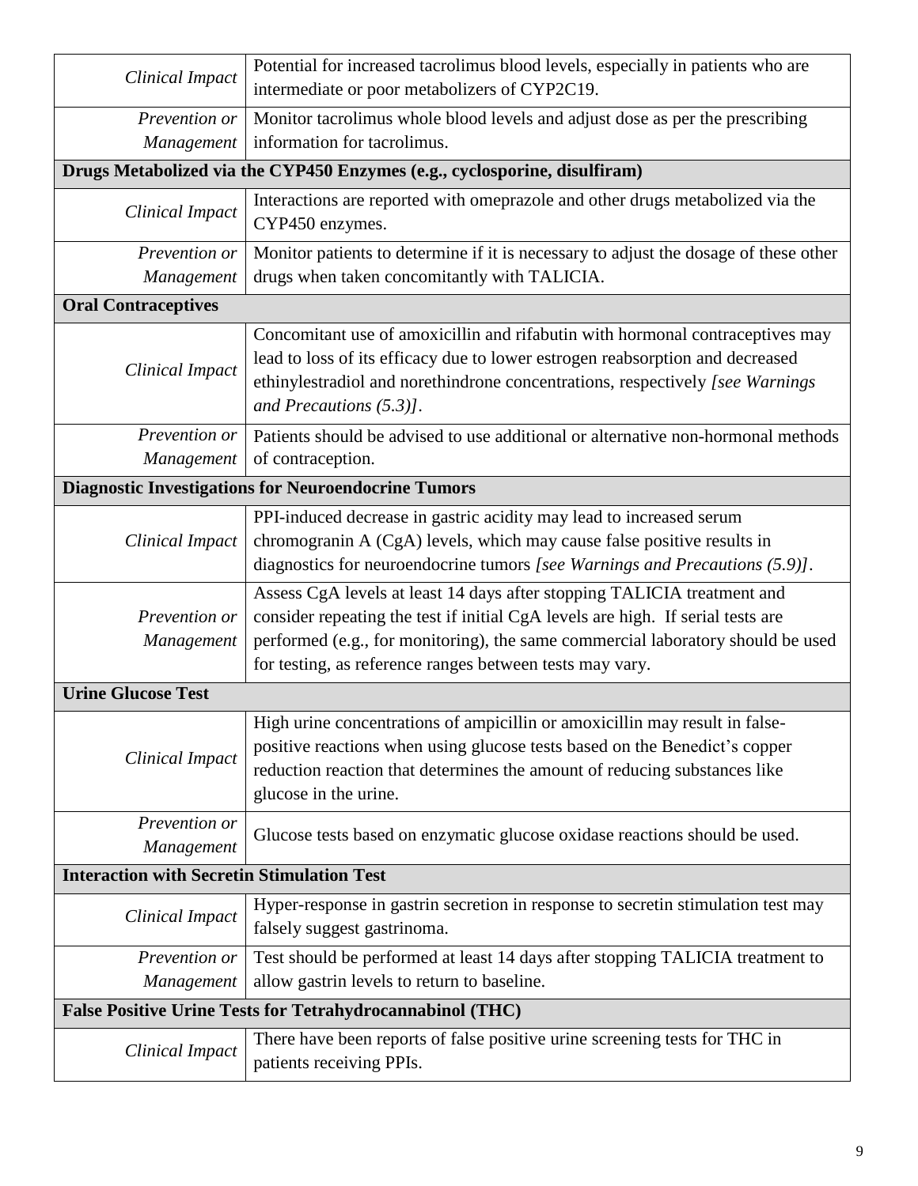| <b>Clinical Impact</b>                                                    | Potential for increased tacrolimus blood levels, especially in patients who are<br>intermediate or poor metabolizers of CYP2C19.                                                                                                                                                                          |  |  |
|---------------------------------------------------------------------------|-----------------------------------------------------------------------------------------------------------------------------------------------------------------------------------------------------------------------------------------------------------------------------------------------------------|--|--|
| Prevention or<br>Management                                               | Monitor tacrolimus whole blood levels and adjust dose as per the prescribing<br>information for tacrolimus.                                                                                                                                                                                               |  |  |
| Drugs Metabolized via the CYP450 Enzymes (e.g., cyclosporine, disulfiram) |                                                                                                                                                                                                                                                                                                           |  |  |
| Clinical Impact                                                           | Interactions are reported with omeprazole and other drugs metabolized via the<br>CYP450 enzymes.                                                                                                                                                                                                          |  |  |
| Prevention or                                                             | Monitor patients to determine if it is necessary to adjust the dosage of these other                                                                                                                                                                                                                      |  |  |
| Management                                                                | drugs when taken concomitantly with TALICIA.                                                                                                                                                                                                                                                              |  |  |
| <b>Oral Contraceptives</b>                                                |                                                                                                                                                                                                                                                                                                           |  |  |
| <b>Clinical Impact</b>                                                    | Concomitant use of amoxicillin and rifabutin with hormonal contraceptives may<br>lead to loss of its efficacy due to lower estrogen reabsorption and decreased<br>ethinylestradiol and norethindrone concentrations, respectively [see Warnings<br>and Precautions $(5.3)$ ].                             |  |  |
| Prevention or                                                             | Patients should be advised to use additional or alternative non-hormonal methods                                                                                                                                                                                                                          |  |  |
| Management                                                                | of contraception.                                                                                                                                                                                                                                                                                         |  |  |
|                                                                           | <b>Diagnostic Investigations for Neuroendocrine Tumors</b>                                                                                                                                                                                                                                                |  |  |
| <b>Clinical Impact</b>                                                    | PPI-induced decrease in gastric acidity may lead to increased serum<br>chromogranin A (CgA) levels, which may cause false positive results in<br>diagnostics for neuroendocrine tumors [see Warnings and Precautions (5.9)].                                                                              |  |  |
| Prevention or<br>Management                                               | Assess CgA levels at least 14 days after stopping TALICIA treatment and<br>consider repeating the test if initial CgA levels are high. If serial tests are<br>performed (e.g., for monitoring), the same commercial laboratory should be used<br>for testing, as reference ranges between tests may vary. |  |  |
| <b>Urine Glucose Test</b>                                                 |                                                                                                                                                                                                                                                                                                           |  |  |
| <b>Clinical Impact</b>                                                    | High urine concentrations of ampicillin or amoxicillin may result in false-<br>positive reactions when using glucose tests based on the Benedict's copper<br>reduction reaction that determines the amount of reducing substances like<br>glucose in the urine.                                           |  |  |
| Prevention or<br>Management                                               | Glucose tests based on enzymatic glucose oxidase reactions should be used.                                                                                                                                                                                                                                |  |  |
| <b>Interaction with Secretin Stimulation Test</b>                         |                                                                                                                                                                                                                                                                                                           |  |  |
| <b>Clinical Impact</b>                                                    | Hyper-response in gastrin secretion in response to secretin stimulation test may<br>falsely suggest gastrinoma.                                                                                                                                                                                           |  |  |
| Prevention or<br>Management                                               | Test should be performed at least 14 days after stopping TALICIA treatment to<br>allow gastrin levels to return to baseline.                                                                                                                                                                              |  |  |
|                                                                           | <b>False Positive Urine Tests for Tetrahydrocannabinol (THC)</b>                                                                                                                                                                                                                                          |  |  |
| <b>Clinical Impact</b>                                                    | There have been reports of false positive urine screening tests for THC in<br>patients receiving PPIs.                                                                                                                                                                                                    |  |  |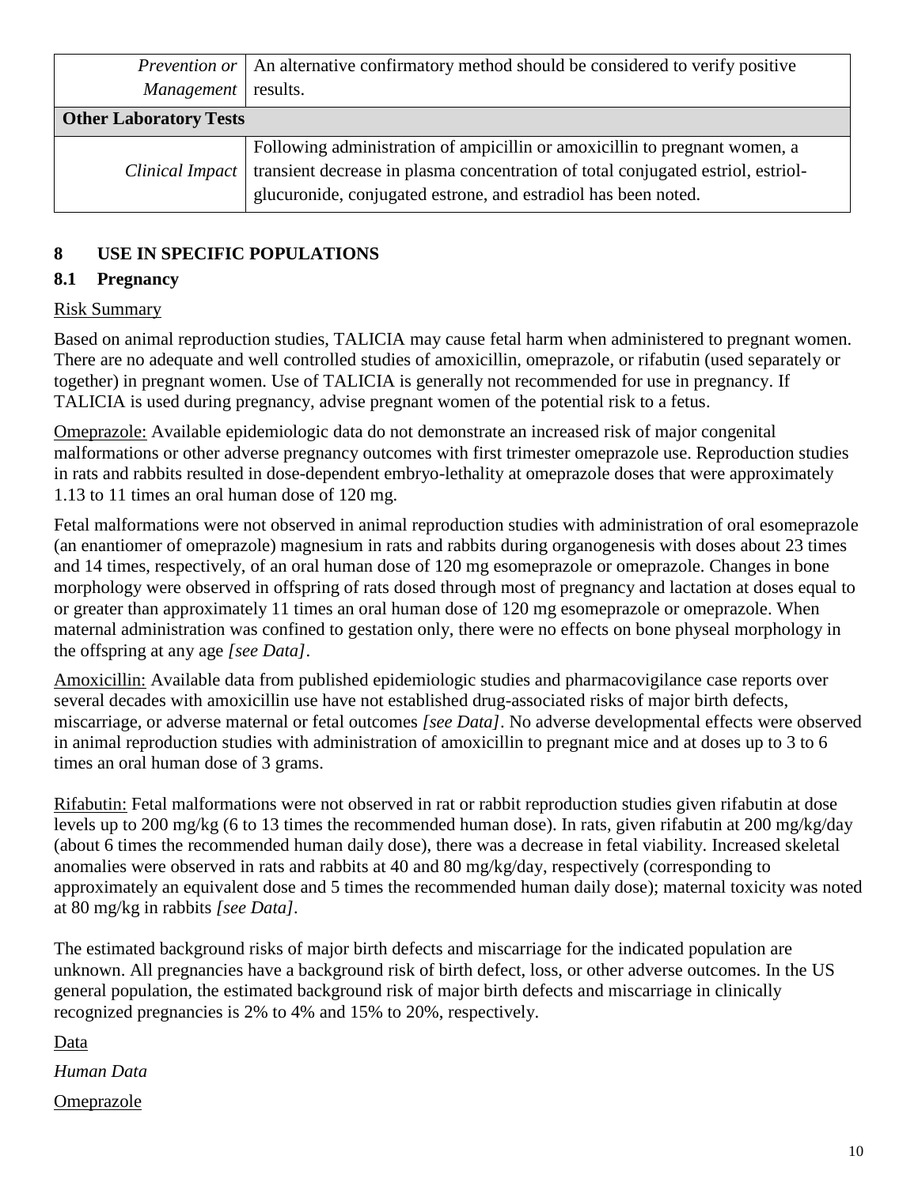|                               | <i>Prevention or</i>   An alternative confirmatory method should be considered to verify positive                                                                                                                                |
|-------------------------------|----------------------------------------------------------------------------------------------------------------------------------------------------------------------------------------------------------------------------------|
| Management results.           |                                                                                                                                                                                                                                  |
| <b>Other Laboratory Tests</b> |                                                                                                                                                                                                                                  |
| Clinical Impact               | Following administration of ampicillin or amoxicillin to pregnant women, a<br>transient decrease in plasma concentration of total conjugated estriol, estriol-<br>glucuronide, conjugated estrone, and estradiol has been noted. |

## **8 USE IN SPECIFIC POPULATIONS**

## **8.1 Pregnancy**

## Risk Summary

Based on animal reproduction studies, TALICIA may cause fetal harm when administered to pregnant women. There are no adequate and well controlled studies of amoxicillin, omeprazole, or rifabutin (used separately or together) in pregnant women. Use of TALICIA is generally not recommended for use in pregnancy. If TALICIA is used during pregnancy, advise pregnant women of the potential risk to a fetus.

Omeprazole: Available epidemiologic data do not demonstrate an increased risk of major congenital malformations or other adverse pregnancy outcomes with first trimester omeprazole use. Reproduction studies in rats and rabbits resulted in dose-dependent embryo-lethality at omeprazole doses that were approximately 1.13 to 11 times an oral human dose of 120 mg.

Fetal malformations were not observed in animal reproduction studies with administration of oral esomeprazole (an enantiomer of omeprazole) magnesium in rats and rabbits during organogenesis with doses about 23 times and 14 times, respectively, of an oral human dose of 120 mg esomeprazole or omeprazole. Changes in bone morphology were observed in offspring of rats dosed through most of pregnancy and lactation at doses equal to or greater than approximately 11 times an oral human dose of 120 mg esomeprazole or omeprazole. When maternal administration was confined to gestation only, there were no effects on bone physeal morphology in the offspring at any age *[see Data]*.

Amoxicillin: Available data from published epidemiologic studies and pharmacovigilance case reports over several decades with amoxicillin use have not established drug-associated risks of major birth defects, miscarriage, or adverse maternal or fetal outcomes *[see Data]*. No adverse developmental effects were observed in animal reproduction studies with administration of amoxicillin to pregnant mice and at doses up to 3 to 6 times an oral human dose of 3 grams.

Rifabutin: Fetal malformations were not observed in rat or rabbit reproduction studies given rifabutin at dose levels up to 200 mg/kg (6 to 13 times the recommended human dose). In rats, given rifabutin at 200 mg/kg/day (about 6 times the recommended human daily dose), there was a decrease in fetal viability. Increased skeletal anomalies were observed in rats and rabbits at 40 and 80 mg/kg/day, respectively (corresponding to approximately an equivalent dose and 5 times the recommended human daily dose); maternal toxicity was noted at 80 mg/kg in rabbits *[see Data].*

The estimated background risks of major birth defects and miscarriage for the indicated population are unknown. All pregnancies have a background risk of birth defect, loss, or other adverse outcomes. In the US general population, the estimated background risk of major birth defects and miscarriage in clinically recognized pregnancies is 2% to 4% and 15% to 20%, respectively.

Data

*Human Data*

**Omeprazole**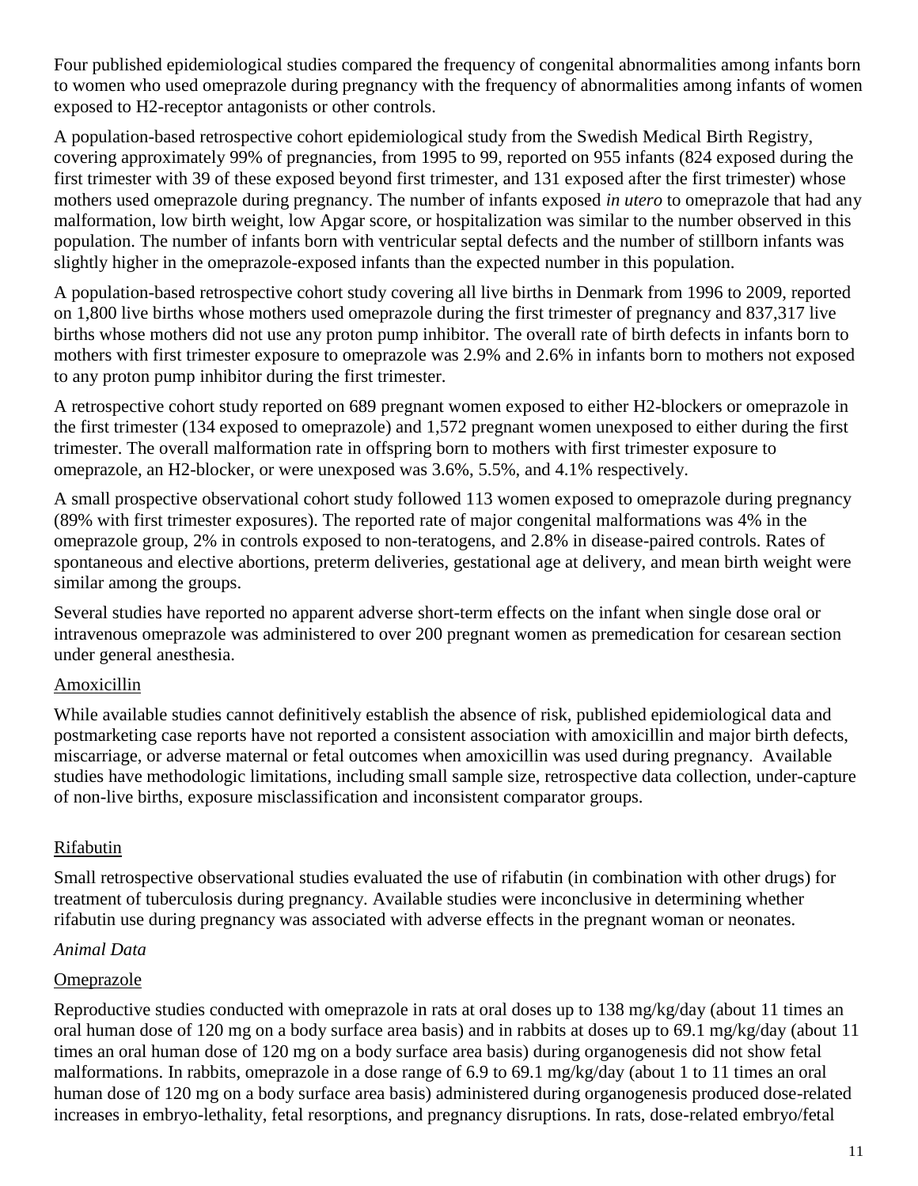Four published epidemiological studies compared the frequency of congenital abnormalities among infants born to women who used omeprazole during pregnancy with the frequency of abnormalities among infants of women exposed to H2-receptor antagonists or other controls.

A population-based retrospective cohort epidemiological study from the Swedish Medical Birth Registry, covering approximately 99% of pregnancies, from 1995 to 99, reported on 955 infants (824 exposed during the first trimester with 39 of these exposed beyond first trimester, and 131 exposed after the first trimester) whose mothers used omeprazole during pregnancy. The number of infants exposed *in utero* to omeprazole that had any malformation, low birth weight, low Apgar score, or hospitalization was similar to the number observed in this population. The number of infants born with ventricular septal defects and the number of stillborn infants was slightly higher in the omeprazole-exposed infants than the expected number in this population.

A population-based retrospective cohort study covering all live births in Denmark from 1996 to 2009, reported on 1,800 live births whose mothers used omeprazole during the first trimester of pregnancy and 837,317 live births whose mothers did not use any proton pump inhibitor. The overall rate of birth defects in infants born to mothers with first trimester exposure to omeprazole was 2.9% and 2.6% in infants born to mothers not exposed to any proton pump inhibitor during the first trimester.

A retrospective cohort study reported on 689 pregnant women exposed to either H2-blockers or omeprazole in the first trimester (134 exposed to omeprazole) and 1,572 pregnant women unexposed to either during the first trimester. The overall malformation rate in offspring born to mothers with first trimester exposure to omeprazole, an H2-blocker, or were unexposed was 3.6%, 5.5%, and 4.1% respectively.

A small prospective observational cohort study followed 113 women exposed to omeprazole during pregnancy (89% with first trimester exposures). The reported rate of major congenital malformations was 4% in the omeprazole group, 2% in controls exposed to non-teratogens, and 2.8% in disease-paired controls. Rates of spontaneous and elective abortions, preterm deliveries, gestational age at delivery, and mean birth weight were similar among the groups.

Several studies have reported no apparent adverse short-term effects on the infant when single dose oral or intravenous omeprazole was administered to over 200 pregnant women as premedication for cesarean section under general anesthesia.

## Amoxicillin

While available studies cannot definitively establish the absence of risk, published epidemiological data and postmarketing case reports have not reported a consistent association with amoxicillin and major birth defects, miscarriage, or adverse maternal or fetal outcomes when amoxicillin was used during pregnancy. Available studies have methodologic limitations, including small sample size, retrospective data collection, under-capture of non-live births, exposure misclassification and inconsistent comparator groups.

## Rifabutin

Small retrospective observational studies evaluated the use of rifabutin (in combination with other drugs) for treatment of tuberculosis during pregnancy. Available studies were inconclusive in determining whether rifabutin use during pregnancy was associated with adverse effects in the pregnant woman or neonates.

## *Animal Data*

## **Omeprazole**

Reproductive studies conducted with omeprazole in rats at oral doses up to 138 mg/kg/day (about 11 times an oral human dose of 120 mg on a body surface area basis) and in rabbits at doses up to 69.1 mg/kg/day (about 11 times an oral human dose of 120 mg on a body surface area basis) during organogenesis did not show fetal malformations. In rabbits, omeprazole in a dose range of 6.9 to 69.1 mg/kg/day (about 1 to 11 times an oral human dose of 120 mg on a body surface area basis) administered during organogenesis produced dose-related increases in embryo-lethality, fetal resorptions, and pregnancy disruptions. In rats, dose-related embryo/fetal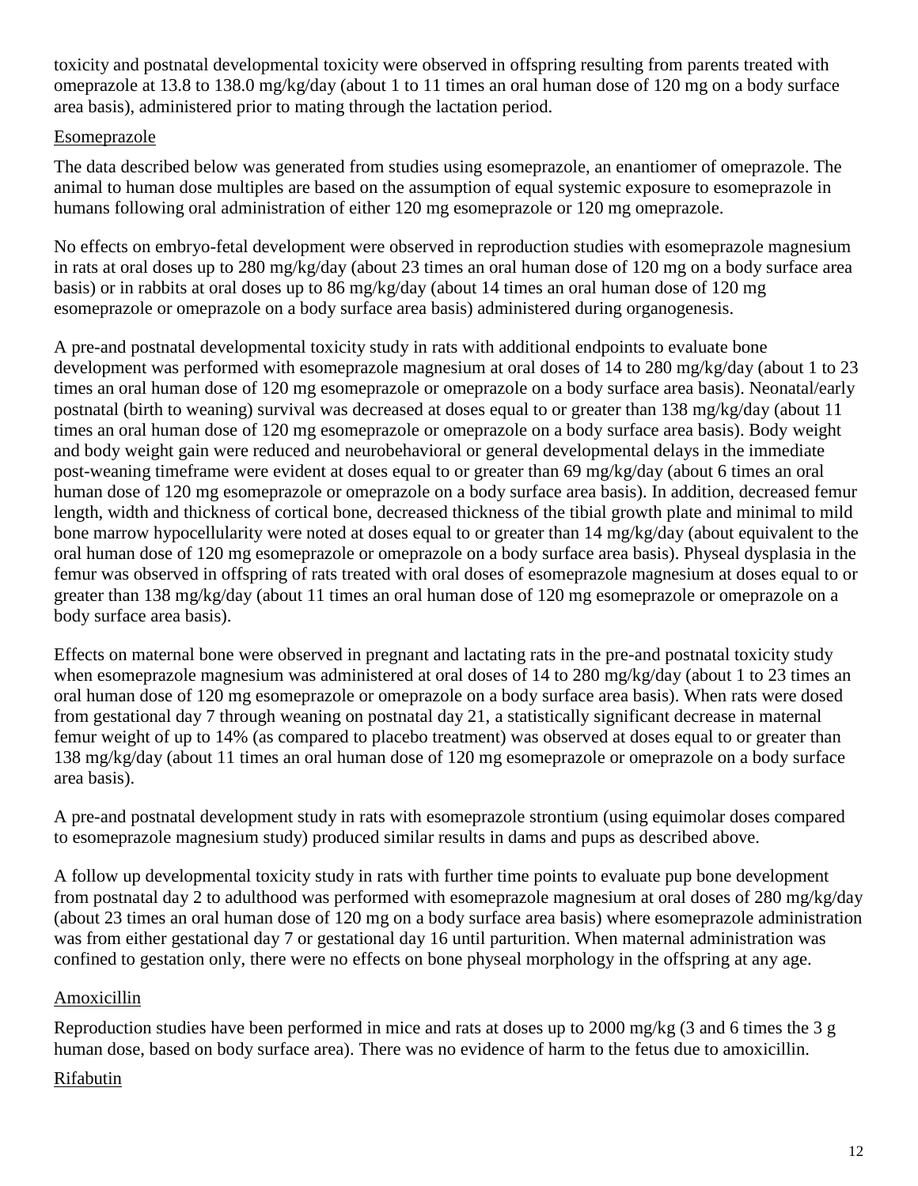toxicity and postnatal developmental toxicity were observed in offspring resulting from parents treated with omeprazole at 13.8 to 138.0 mg/kg/day (about 1 to 11 times an oral human dose of 120 mg on a body surface area basis), administered prior to mating through the lactation period.

## Esomeprazole

The data described below was generated from studies using esomeprazole, an enantiomer of omeprazole. The animal to human dose multiples are based on the assumption of equal systemic exposure to esomeprazole in humans following oral administration of either 120 mg esomeprazole or 120 mg omeprazole.

No effects on embryo-fetal development were observed in reproduction studies with esomeprazole magnesium in rats at oral doses up to 280 mg/kg/day (about 23 times an oral human dose of 120 mg on a body surface area basis) or in rabbits at oral doses up to 86 mg/kg/day (about 14 times an oral human dose of 120 mg esomeprazole or omeprazole on a body surface area basis) administered during organogenesis.

A pre-and postnatal developmental toxicity study in rats with additional endpoints to evaluate bone development was performed with esomeprazole magnesium at oral doses of 14 to 280 mg/kg/day (about 1 to 23 times an oral human dose of 120 mg esomeprazole or omeprazole on a body surface area basis). Neonatal/early postnatal (birth to weaning) survival was decreased at doses equal to or greater than 138 mg/kg/day (about 11 times an oral human dose of 120 mg esomeprazole or omeprazole on a body surface area basis). Body weight and body weight gain were reduced and neurobehavioral or general developmental delays in the immediate post-weaning timeframe were evident at doses equal to or greater than 69 mg/kg/day (about 6 times an oral human dose of 120 mg esomeprazole or omeprazole on a body surface area basis). In addition, decreased femur length, width and thickness of cortical bone, decreased thickness of the tibial growth plate and minimal to mild bone marrow hypocellularity were noted at doses equal to or greater than 14 mg/kg/day (about equivalent to the oral human dose of 120 mg esomeprazole or omeprazole on a body surface area basis). Physeal dysplasia in the femur was observed in offspring of rats treated with oral doses of esomeprazole magnesium at doses equal to or greater than 138 mg/kg/day (about 11 times an oral human dose of 120 mg esomeprazole or omeprazole on a body surface area basis).

Effects on maternal bone were observed in pregnant and lactating rats in the pre-and postnatal toxicity study when esomeprazole magnesium was administered at oral doses of 14 to 280 mg/kg/day (about 1 to 23 times an oral human dose of 120 mg esomeprazole or omeprazole on a body surface area basis). When rats were dosed from gestational day 7 through weaning on postnatal day 21, a statistically significant decrease in maternal femur weight of up to 14% (as compared to placebo treatment) was observed at doses equal to or greater than 138 mg/kg/day (about 11 times an oral human dose of 120 mg esomeprazole or omeprazole on a body surface area basis).

A pre-and postnatal development study in rats with esomeprazole strontium (using equimolar doses compared to esomeprazole magnesium study) produced similar results in dams and pups as described above.

A follow up developmental toxicity study in rats with further time points to evaluate pup bone development from postnatal day 2 to adulthood was performed with esomeprazole magnesium at oral doses of 280 mg/kg/day (about 23 times an oral human dose of 120 mg on a body surface area basis) where esomeprazole administration was from either gestational day 7 or gestational day 16 until parturition. When maternal administration was confined to gestation only, there were no effects on bone physeal morphology in the offspring at any age.

## Amoxicillin

Reproduction studies have been performed in mice and rats at doses up to 2000 mg/kg (3 and 6 times the 3 g human dose, based on body surface area). There was no evidence of harm to the fetus due to amoxicillin.

## Rifabutin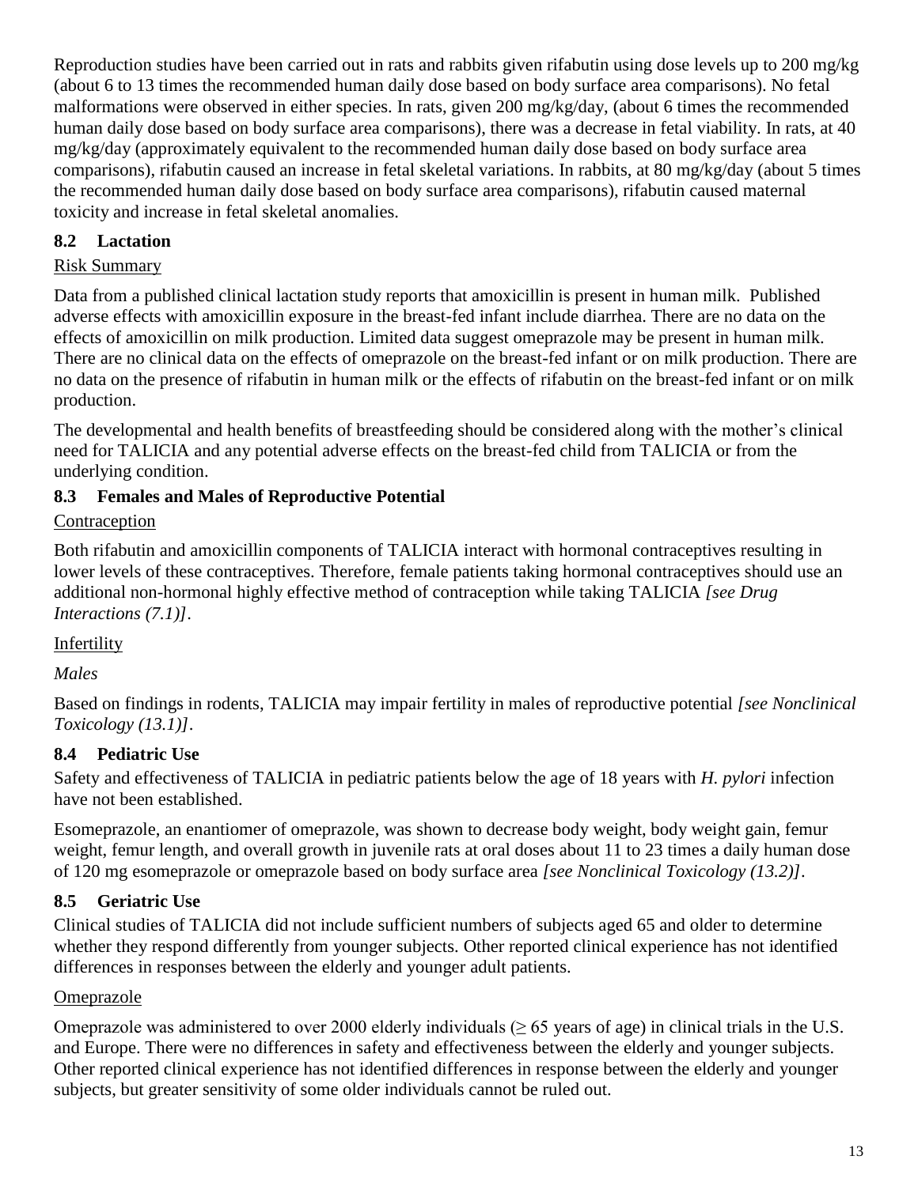Reproduction studies have been carried out in rats and rabbits given rifabutin using dose levels up to 200 mg/kg (about 6 to 13 times the recommended human daily dose based on body surface area comparisons). No fetal malformations were observed in either species. In rats, given 200 mg/kg/day, (about 6 times the recommended human daily dose based on body surface area comparisons), there was a decrease in fetal viability. In rats, at 40 mg/kg/day (approximately equivalent to the recommended human daily dose based on body surface area comparisons), rifabutin caused an increase in fetal skeletal variations. In rabbits, at 80 mg/kg/day (about 5 times the recommended human daily dose based on body surface area comparisons), rifabutin caused maternal toxicity and increase in fetal skeletal anomalies.

## **8.2 Lactation**

## Risk Summary

Data from a published clinical lactation study reports that amoxicillin is present in human milk. Published adverse effects with amoxicillin exposure in the breast-fed infant include diarrhea. There are no data on the effects of amoxicillin on milk production. Limited data suggest omeprazole may be present in human milk. There are no clinical data on the effects of omeprazole on the breast-fed infant or on milk production. There are no data on the presence of rifabutin in human milk or the effects of rifabutin on the breast-fed infant or on milk production.

The developmental and health benefits of breastfeeding should be considered along with the mother's clinical need for TALICIA and any potential adverse effects on the breast-fed child from TALICIA or from the underlying condition.

## **8.3 Females and Males of Reproductive Potential**

## **Contraception**

Both rifabutin and amoxicillin components of TALICIA interact with hormonal contraceptives resulting in lower levels of these contraceptives. Therefore, female patients taking hormonal contraceptives should use an additional non-hormonal highly effective method of contraception while taking TALICIA *[see Drug Interactions (7.1)]*.

## Infertility

# *Males*

Based on findings in rodents, TALICIA may impair fertility in males of reproductive potential *[see Nonclinical Toxicology (13.1)]*.

# **8.4 Pediatric Use**

Safety and effectiveness of TALICIA in pediatric patients below the age of 18 years with *H. pylori* infection have not been established.

Esomeprazole, an enantiomer of omeprazole, was shown to decrease body weight, body weight gain, femur weight, femur length, and overall growth in juvenile rats at oral doses about 11 to 23 times a daily human dose of 120 mg esomeprazole or omeprazole based on body surface area *[see Nonclinical Toxicology (13.2)]*.

# **8.5 Geriatric Use**

Clinical studies of TALICIA did not include sufficient numbers of subjects aged 65 and older to determine whether they respond differently from younger subjects. Other reported clinical experience has not identified differences in responses between the elderly and younger adult patients.

## Omeprazole

Omeprazole was administered to over 2000 elderly individuals ( $\geq 65$  years of age) in clinical trials in the U.S. and Europe. There were no differences in safety and effectiveness between the elderly and younger subjects. Other reported clinical experience has not identified differences in response between the elderly and younger subjects, but greater sensitivity of some older individuals cannot be ruled out.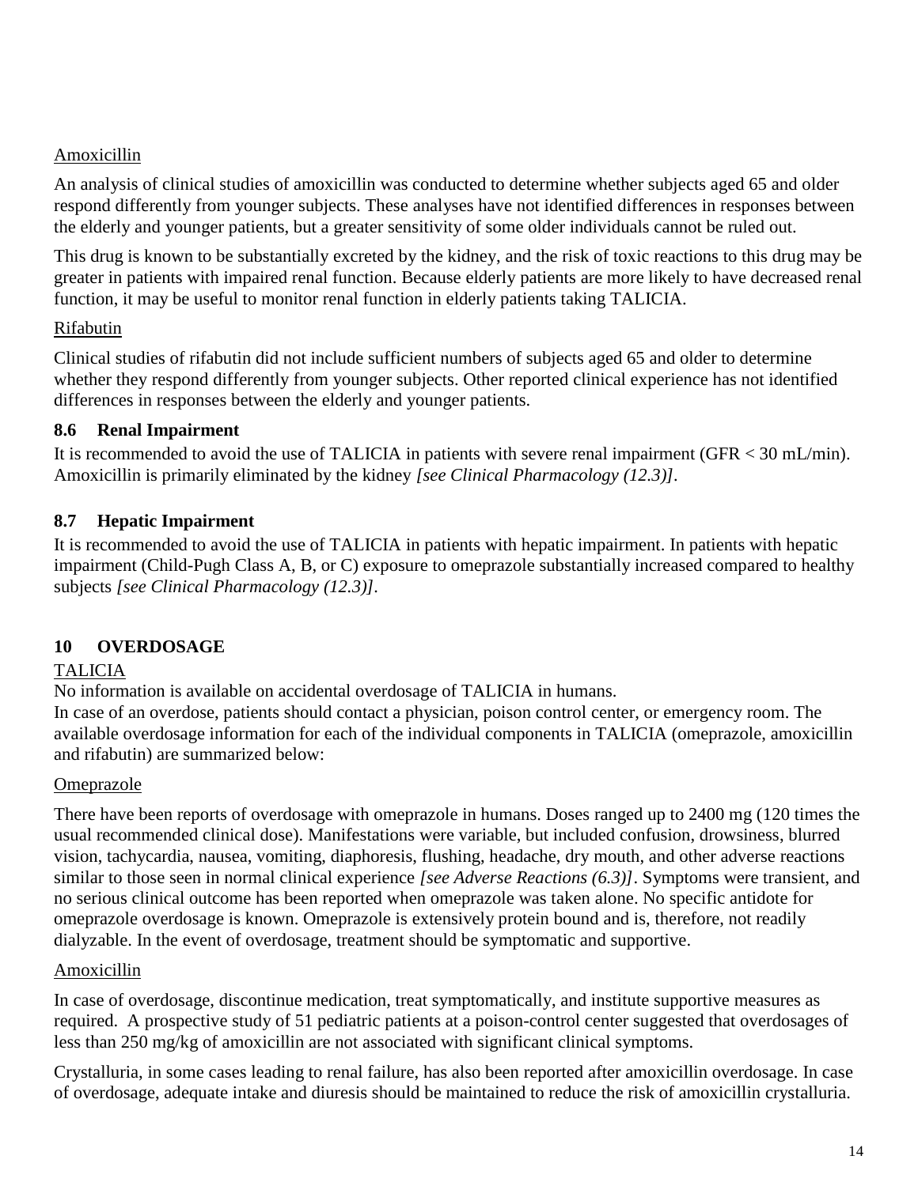## **Amoxicillin**

An analysis of clinical studies of amoxicillin was conducted to determine whether subjects aged 65 and older respond differently from younger subjects. These analyses have not identified differences in responses between the elderly and younger patients, but a greater sensitivity of some older individuals cannot be ruled out.

This drug is known to be substantially excreted by the kidney, and the risk of toxic reactions to this drug may be greater in patients with impaired renal function. Because elderly patients are more likely to have decreased renal function, it may be useful to monitor renal function in elderly patients taking TALICIA.

## Rifabutin

Clinical studies of rifabutin did not include sufficient numbers of subjects aged 65 and older to determine whether they respond differently from younger subjects. Other reported clinical experience has not identified differences in responses between the elderly and younger patients.

## **8.6 Renal Impairment**

It is recommended to avoid the use of TALICIA in patients with severe renal impairment (GFR < 30 mL/min). Amoxicillin is primarily eliminated by the kidney *[see Clinical Pharmacology (12.3)].*

## **8.7 Hepatic Impairment**

It is recommended to avoid the use of TALICIA in patients with hepatic impairment. In patients with hepatic impairment (Child-Pugh Class A, B, or C) exposure to omeprazole substantially increased compared to healthy subjects *[see Clinical Pharmacology (12.3)].*

# **10 OVERDOSAGE**

## TALICIA

No information is available on accidental overdosage of TALICIA in humans.

In case of an overdose, patients should contact a physician, poison control center, or emergency room. The available overdosage information for each of the individual components in TALICIA (omeprazole, amoxicillin and rifabutin) are summarized below:

## Omeprazole

There have been reports of overdosage with omeprazole in humans. Doses ranged up to 2400 mg (120 times the usual recommended clinical dose). Manifestations were variable, but included confusion, drowsiness, blurred vision, tachycardia, nausea, vomiting, diaphoresis, flushing, headache, dry mouth, and other adverse reactions similar to those seen in normal clinical experience *[see Adverse Reactions (6.3)]*. Symptoms were transient, and no serious clinical outcome has been reported when omeprazole was taken alone. No specific antidote for omeprazole overdosage is known. Omeprazole is extensively protein bound and is, therefore, not readily dialyzable. In the event of overdosage, treatment should be symptomatic and supportive.

## Amoxicillin

In case of overdosage, discontinue medication, treat symptomatically, and institute supportive measures as required. A prospective study of 51 pediatric patients at a poison-control center suggested that overdosages of less than 250 mg/kg of amoxicillin are not associated with significant clinical symptoms.

Crystalluria, in some cases leading to renal failure, has also been reported after amoxicillin overdosage. In case of overdosage, adequate intake and diuresis should be maintained to reduce the risk of amoxicillin crystalluria.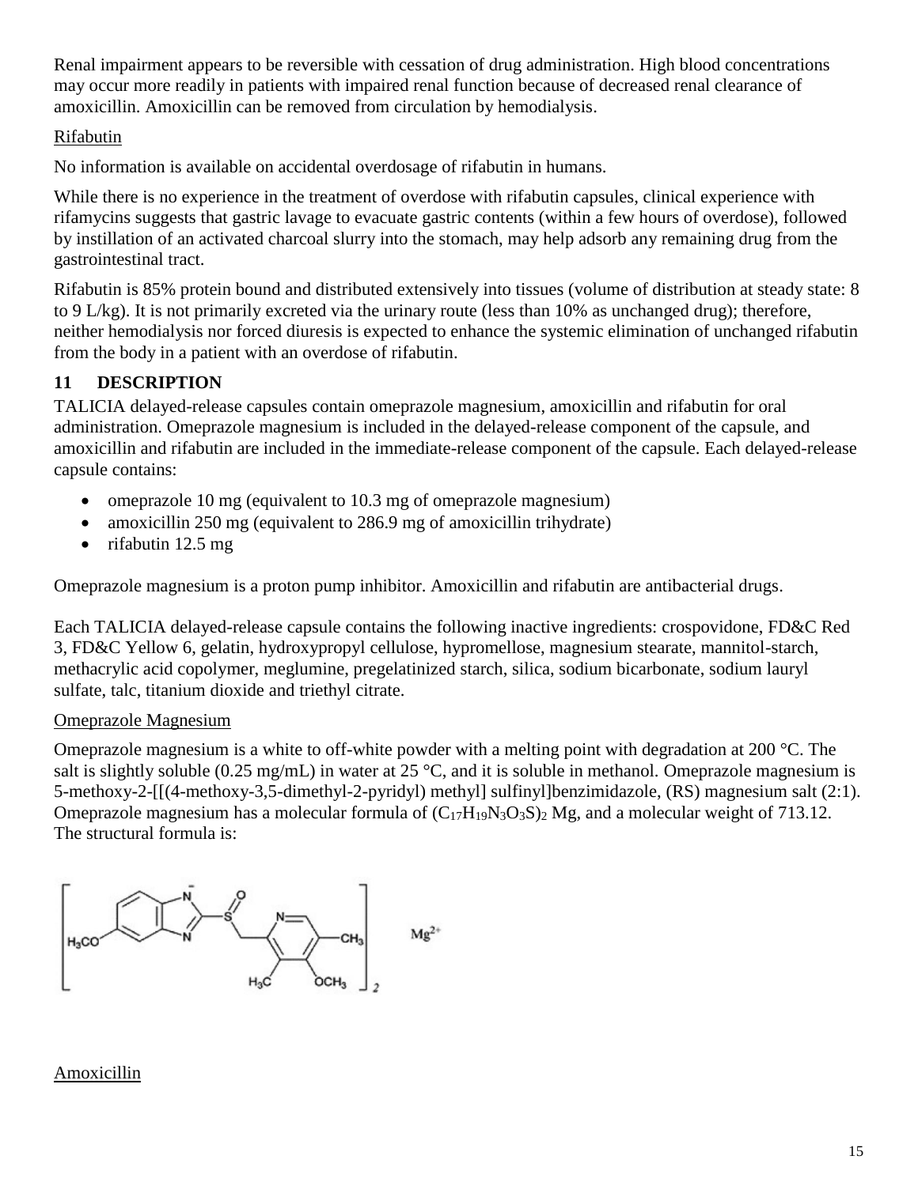Renal impairment appears to be reversible with cessation of drug administration. High blood concentrations may occur more readily in patients with impaired renal function because of decreased renal clearance of amoxicillin. Amoxicillin can be removed from circulation by hemodialysis.

## Rifabutin

No information is available on accidental overdosage of rifabutin in humans.

While there is no experience in the treatment of overdose with rifabutin capsules, clinical experience with rifamycins suggests that gastric lavage to evacuate gastric contents (within a few hours of overdose), followed by instillation of an activated charcoal slurry into the stomach, may help adsorb any remaining drug from the gastrointestinal tract.

Rifabutin is 85% protein bound and distributed extensively into tissues (volume of distribution at steady state: 8 to 9 L/kg). It is not primarily excreted via the urinary route (less than 10% as unchanged drug); therefore, neither hemodialysis nor forced diuresis is expected to enhance the systemic elimination of unchanged rifabutin from the body in a patient with an overdose of rifabutin.

# **11 DESCRIPTION**

TALICIA delayed-release capsules contain omeprazole magnesium, amoxicillin and rifabutin for oral administration. Omeprazole magnesium is included in the delayed-release component of the capsule, and amoxicillin and rifabutin are included in the immediate-release component of the capsule. Each delayed-release capsule contains:

- omeprazole 10 mg (equivalent to 10.3 mg of omeprazole magnesium)
- amoxicillin 250 mg (equivalent to 286.9 mg of amoxicillin trihydrate)
- rifabutin 12.5 mg

Omeprazole magnesium is a proton pump inhibitor. Amoxicillin and rifabutin are antibacterial drugs.

Each TALICIA delayed-release capsule contains the following inactive ingredients: crospovidone, FD&C Red 3, FD&C Yellow 6, gelatin, hydroxypropyl cellulose, hypromellose, magnesium stearate, mannitol-starch, methacrylic acid copolymer, meglumine, pregelatinized starch, silica, sodium bicarbonate, sodium lauryl sulfate, talc, titanium dioxide and triethyl citrate.

## Omeprazole Magnesium

Omeprazole magnesium is a white to off-white powder with a melting point with degradation at 200 °C. The salt is slightly soluble (0.25 mg/mL) in water at 25 °C, and it is soluble in methanol. Omeprazole magnesium is 5-methoxy-2-[[(4-methoxy-3,5-dimethyl-2-pyridyl) methyl] sulfinyl]benzimidazole, (RS) magnesium salt (2:1). Omeprazole magnesium has a molecular formula of  $(C_{17}H_{19}N_3O_3S)_2$  Mg, and a molecular weight of 713.12. The structural formula is:



## Amoxicillin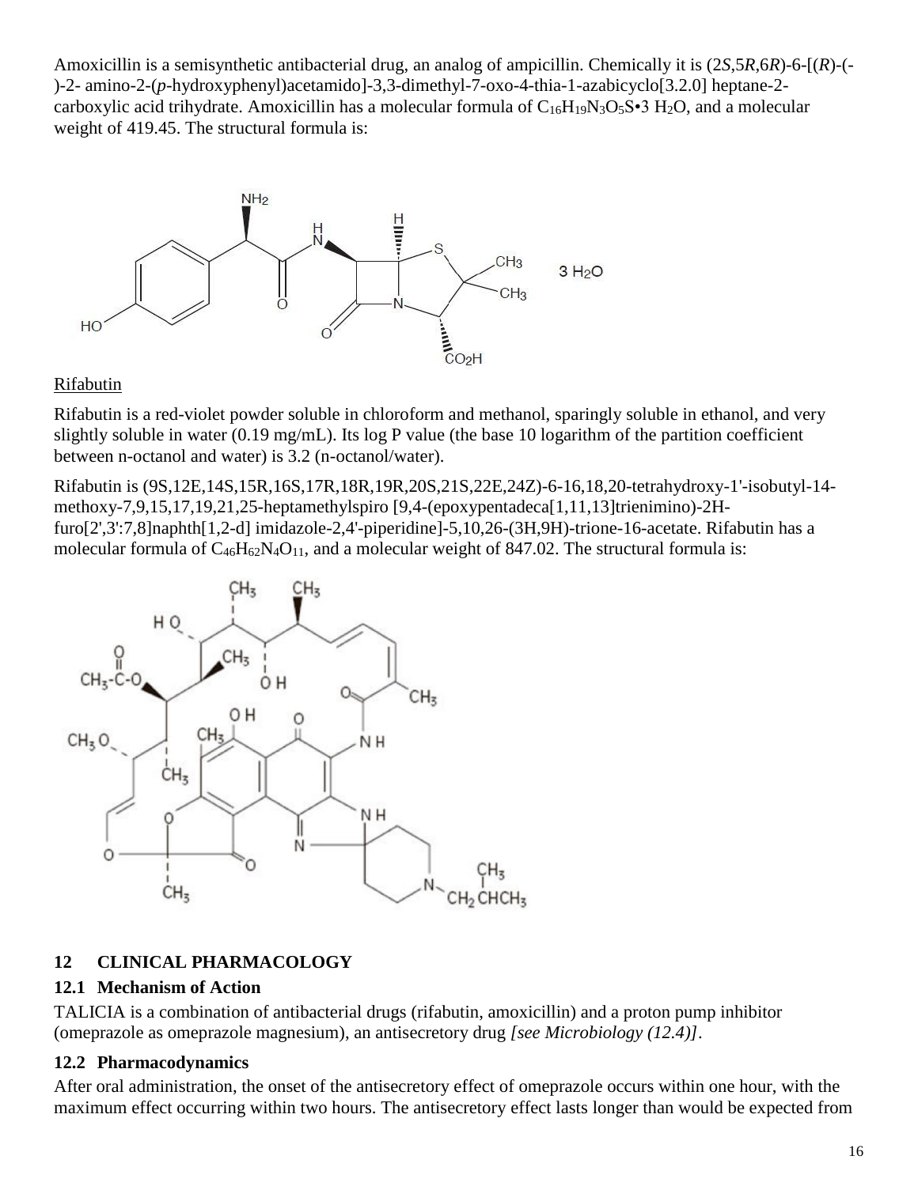Amoxicillin is a semisynthetic antibacterial drug, an analog of ampicillin. Chemically it is (2*S*,5*R*,6*R*)-6-[(*R*)-(- )-2- amino-2-(*p*-hydroxyphenyl)acetamido]-3,3-dimethyl-7-oxo-4-thia-1-azabicyclo[3.2.0] heptane-2 carboxylic acid trihydrate. Amoxicillin has a molecular formula of  $C_{16}H_{19}N_3O_5S\cdot3 H_2O$ , and a molecular weight of 419.45. The structural formula is:



### Rifabutin

Rifabutin is a red-violet powder soluble in chloroform and methanol, sparingly soluble in ethanol, and very slightly soluble in water (0.19 mg/mL). Its log P value (the base 10 logarithm of the partition coefficient between n-octanol and water) is 3.2 (n-octanol/water).

Rifabutin is (9S,12E,14S,15R,16S,17R,18R,19R,20S,21S,22E,24Z)-6-16,18,20-tetrahydroxy-1'-isobutyl-14 methoxy-7,9,15,17,19,21,25-heptamethylspiro [9,4-(epoxypentadeca[1,11,13]trienimino)-2Hfuro[2',3':7,8]naphth[1,2-d] imidazole-2,4'-piperidine]-5,10,26-(3H,9H)-trione-16-acetate. Rifabutin has a molecular formula of  $C_{46}H_{62}N_4O_{11}$ , and a molecular weight of 847.02. The structural formula is:



## **12 CLINICAL PHARMACOLOGY**

## **12.1 Mechanism of Action**

TALICIA is a combination of antibacterial drugs (rifabutin, amoxicillin) and a proton pump inhibitor (omeprazole as omeprazole magnesium), an antisecretory drug *[see Microbiology (12.4)]*.

## **12.2 Pharmacodynamics**

After oral administration, the onset of the antisecretory effect of omeprazole occurs within one hour, with the maximum effect occurring within two hours. The antisecretory effect lasts longer than would be expected from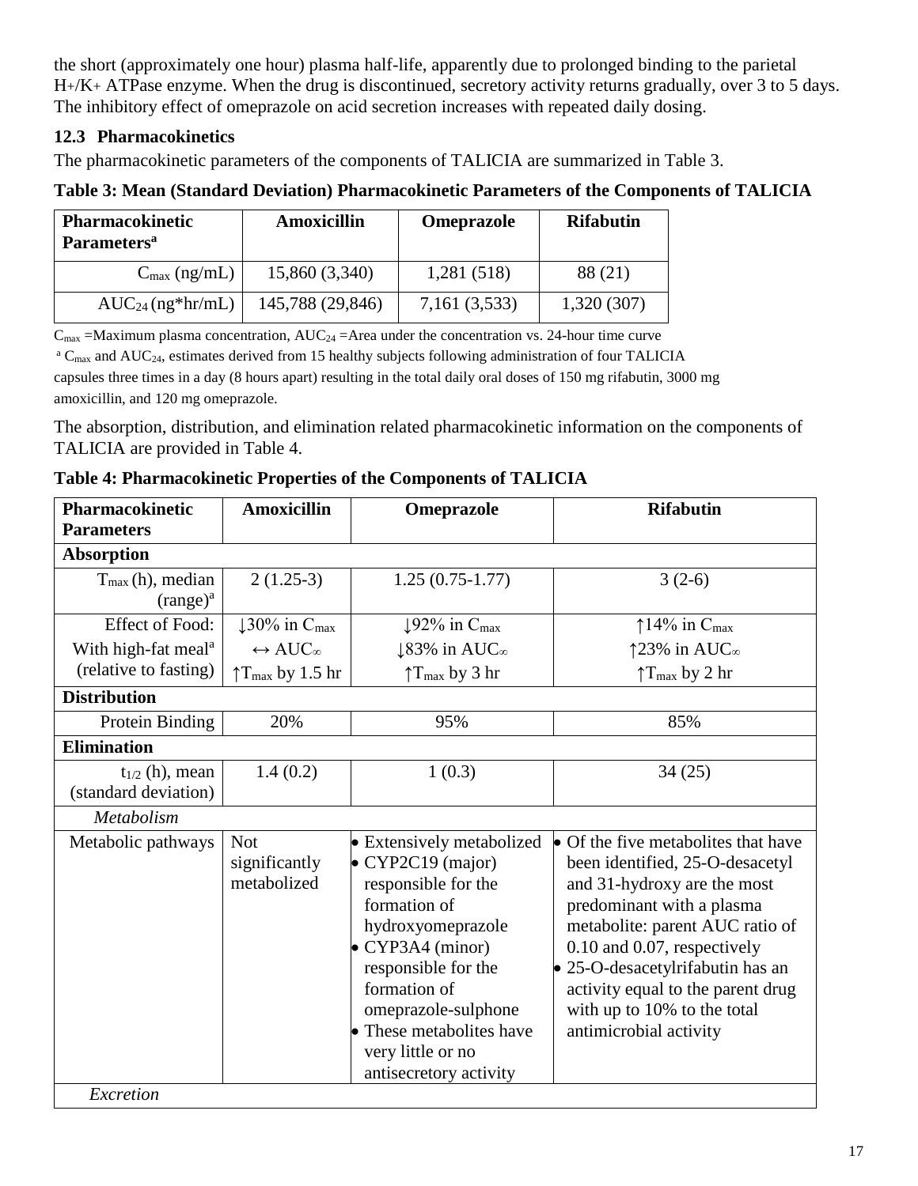the short (approximately one hour) plasma half-life, apparently due to prolonged binding to the parietal H+/K+ ATPase enzyme. When the drug is discontinued, secretory activity returns gradually, over 3 to 5 days. The inhibitory effect of omeprazole on acid secretion increases with repeated daily dosing.

## **12.3 Pharmacokinetics**

The pharmacokinetic parameters of the components of TALICIA are summarized in Table 3.

## **Table 3: Mean (Standard Deviation) Pharmacokinetic Parameters of the Components of TALICIA**

| <b>Pharmacokinetic</b><br><b>Parameters</b> <sup>a</sup> | Amoxicillin      | <b>Omeprazole</b> | <b>Rifabutin</b> |
|----------------------------------------------------------|------------------|-------------------|------------------|
| $C_{\text{max}}$ (ng/mL)                                 | 15,860 (3,340)   | 1,281 (518)       | 88 (21)          |
| $AUC_{24}$ (ng*hr/mL)                                    | 145,788 (29,846) | 7,161 (3,533)     | 1,320(307)       |

 $C_{\text{max}}$  =Maximum plasma concentration, AUC<sub>24</sub> =Area under the concentration vs. 24-hour time curve

 $a$  C<sub>max</sub> and AUC<sub>24</sub>, estimates derived from 15 healthy subjects following administration of four TALICIA capsules three times in a day (8 hours apart) resulting in the total daily oral doses of 150 mg rifabutin, 3000 mg amoxicillin, and 120 mg omeprazole.

The absorption, distribution, and elimination related pharmacokinetic information on the components of TALICIA are provided in Table 4.

| Pharmacokinetic                 | <b>Amoxicillin</b>                    | Omeprazole                           | <b>Rifabutin</b>                            |
|---------------------------------|---------------------------------------|--------------------------------------|---------------------------------------------|
| <b>Parameters</b>               |                                       |                                      |                                             |
| <b>Absorption</b>               |                                       |                                      |                                             |
| $T_{\text{max}}(h)$ , median    | $2(1.25-3)$                           | $1.25(0.75-1.77)$                    | $3(2-6)$                                    |
| $(range)^a$                     |                                       |                                      |                                             |
| <b>Effect of Food:</b>          | $\downarrow$ 30% in C <sub>max</sub>  | $\downarrow$ 92% in C <sub>max</sub> | $\uparrow$ 14% in $C_{\text{max}}$          |
| With high-fat meal <sup>a</sup> | $\leftrightarrow$ AUC <sub>n</sub>    | $\downarrow$ 83% in AUC <sub>∞</sub> | $\uparrow$ 23% in AUC <sub>∞</sub>          |
| (relative to fasting)           | $\uparrow$ T <sub>max</sub> by 1.5 hr | $\uparrow$ T <sub>max</sub> by 3 hr  | $\uparrow$ T <sub>max</sub> by 2 hr         |
| <b>Distribution</b>             |                                       |                                      |                                             |
| Protein Binding                 | 20%                                   | 95%                                  | 85%                                         |
| <b>Elimination</b>              |                                       |                                      |                                             |
| $t_{1/2}$ (h), mean             | 1.4(0.2)                              | 1(0.3)                               | 34(25)                                      |
| (standard deviation)            |                                       |                                      |                                             |
| Metabolism                      |                                       |                                      |                                             |
| Metabolic pathways              | <b>Not</b>                            | • Extensively metabolized            | $\bullet$ Of the five metabolites that have |
|                                 | significantly                         | • CYP2C19 (major)                    | been identified, 25-O-desacetyl             |
|                                 | metabolized                           | responsible for the                  | and 31-hydroxy are the most                 |
|                                 |                                       | formation of                         | predominant with a plasma                   |
|                                 |                                       | hydroxyomeprazole                    | metabolite: parent AUC ratio of             |
|                                 |                                       | • CYP3A4 (minor)                     | 0.10 and 0.07, respectively                 |
|                                 |                                       | responsible for the                  | • 25-O-desacetylrifabutin has an            |
|                                 |                                       | formation of                         | activity equal to the parent drug           |
|                                 |                                       | omeprazole-sulphone                  | with up to 10% to the total                 |
|                                 |                                       | • These metabolites have             | antimicrobial activity                      |
|                                 |                                       | very little or no                    |                                             |
|                                 |                                       | antisecretory activity               |                                             |
| Excretion                       |                                       |                                      |                                             |

### **Table 4: Pharmacokinetic Properties of the Components of TALICIA**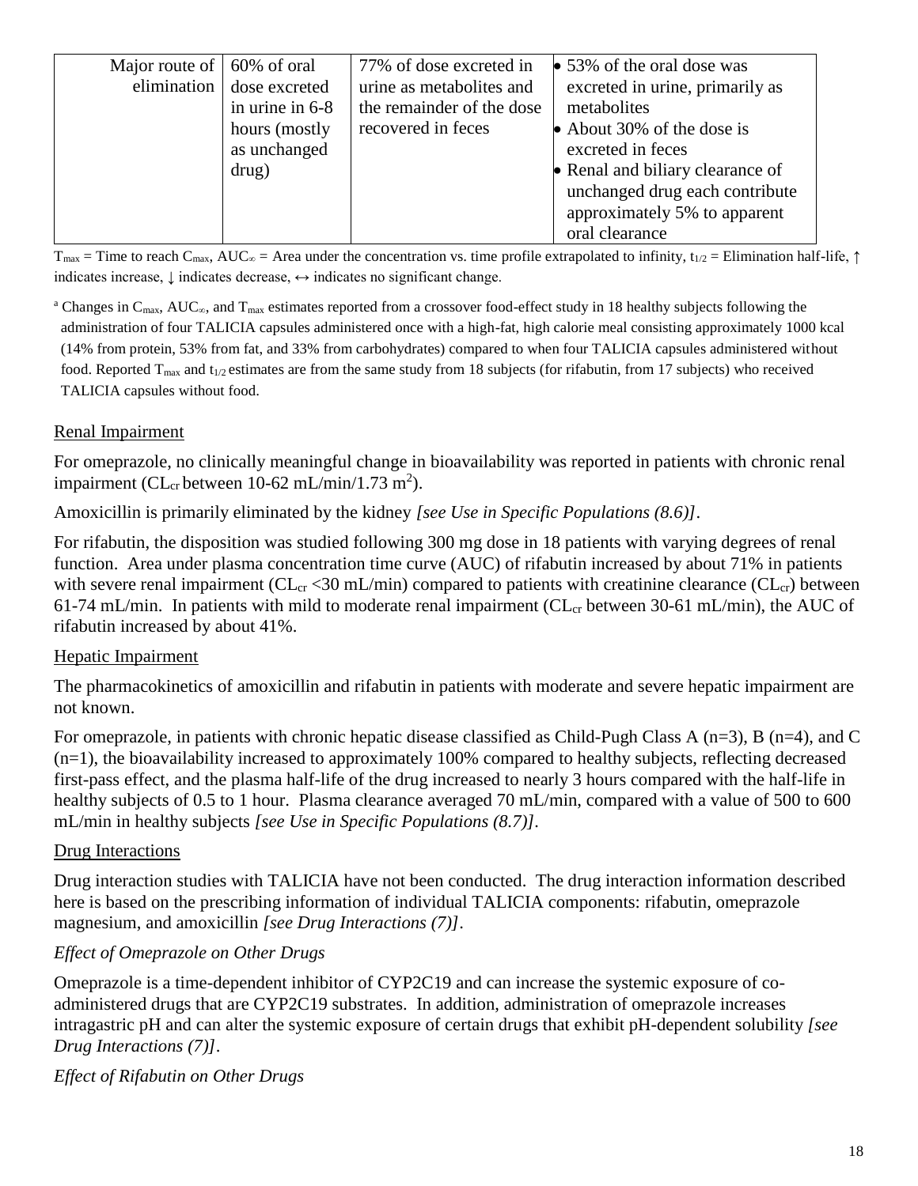| Major route of | 60% of oral     | 77% of dose excreted in   | $\bullet$ 53% of the oral dose was |
|----------------|-----------------|---------------------------|------------------------------------|
| elimination    | dose excreted   | urine as metabolites and  | excreted in urine, primarily as    |
|                | in urine in 6-8 | the remainder of the dose | metabolites                        |
|                | hours (mostly   | recovered in feces        | • About 30% of the dose is         |
|                | as unchanged    |                           | excreted in feces                  |
|                | drug)           |                           | • Renal and biliary clearance of   |
|                |                 |                           | unchanged drug each contribute     |
|                |                 |                           | approximately 5% to apparent       |
|                |                 |                           | oral clearance                     |

 $T_{\text{max}}$  = Time to reach C<sub>max</sub>, AUC<sub>∞</sub> = Area under the concentration vs. time profile extrapolated to infinity, t<sub>1/2</sub> = Elimination half-life, ↑ indicates increase,  $\downarrow$  indicates decrease,  $\leftrightarrow$  indicates no significant change.

<sup>a</sup> Changes in C<sub>max</sub>, AUC<sub>∞</sub>, and T<sub>max</sub> estimates reported from a crossover food-effect study in 18 healthy subjects following the administration of four TALICIA capsules administered once with a high-fat, high calorie meal consisting approximately 1000 kcal (14% from protein, 53% from fat, and 33% from carbohydrates) compared to when four TALICIA capsules administered without food. Reported  $T_{max}$  and  $t_{1/2}$  estimates are from the same study from 18 subjects (for rifabutin, from 17 subjects) who received TALICIA capsules without food.

## Renal Impairment

For omeprazole, no clinically meaningful change in bioavailability was reported in patients with chronic renal impairment (CL<sub>cr</sub> between  $10-62$  mL/min/1.73 m<sup>2</sup>).

Amoxicillin is primarily eliminated by the kidney *[see Use in Specific Populations (8.6)]*.

For rifabutin, the disposition was studied following 300 mg dose in 18 patients with varying degrees of renal function. Area under plasma concentration time curve (AUC) of rifabutin increased by about 71% in patients with severe renal impairment ( $CL_{cr}$  <30 mL/min) compared to patients with creatinine clearance ( $CL_{cr}$ ) between 61-74 mL/min. In patients with mild to moderate renal impairment ( $CL<sub>cr</sub>$  between 30-61 mL/min), the AUC of rifabutin increased by about 41%.

## Hepatic Impairment

The pharmacokinetics of amoxicillin and rifabutin in patients with moderate and severe hepatic impairment are not known.

For omeprazole, in patients with chronic hepatic disease classified as Child-Pugh Class A ( $n=3$ ), B ( $n=4$ ), and C (n=1), the bioavailability increased to approximately 100% compared to healthy subjects, reflecting decreased first-pass effect, and the plasma half-life of the drug increased to nearly 3 hours compared with the half-life in healthy subjects of 0.5 to 1 hour. Plasma clearance averaged 70 mL/min, compared with a value of 500 to 600 mL/min in healthy subjects *[see Use in Specific Populations (8.7)].*

## Drug Interactions

Drug interaction studies with TALICIA have not been conducted. The drug interaction information described here is based on the prescribing information of individual TALICIA components: rifabutin, omeprazole magnesium, and amoxicillin *[see Drug Interactions (7)]*.

## *Effect of Omeprazole on Other Drugs*

Omeprazole is a time-dependent inhibitor of CYP2C19 and can increase the systemic exposure of coadministered drugs that are CYP2C19 substrates. In addition, administration of omeprazole increases intragastric pH and can alter the systemic exposure of certain drugs that exhibit pH-dependent solubility *[see Drug Interactions (7)]*.

## *Effect of Rifabutin on Other Drugs*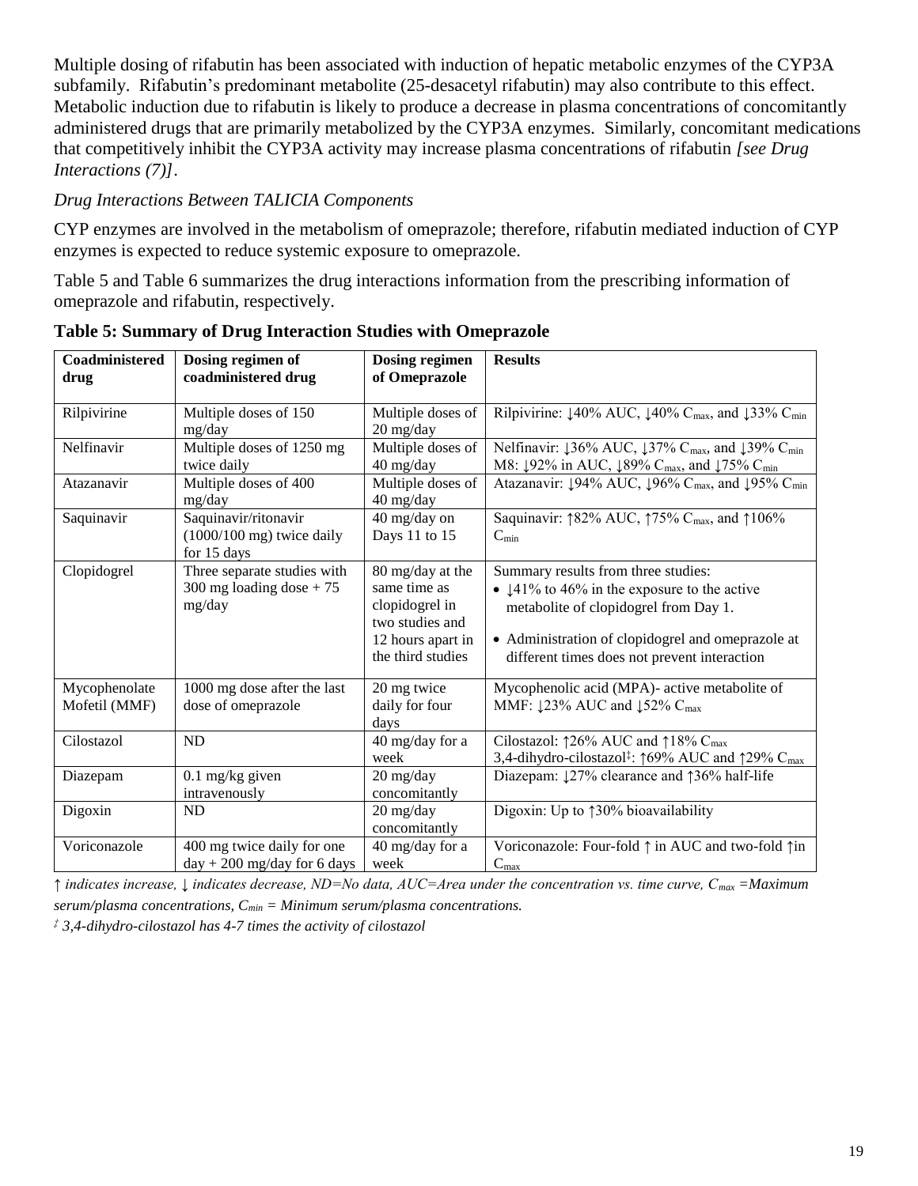Multiple dosing of rifabutin has been associated with induction of hepatic metabolic enzymes of the CYP3A subfamily. Rifabutin's predominant metabolite (25-desacetyl rifabutin) may also contribute to this effect. Metabolic induction due to rifabutin is likely to produce a decrease in plasma concentrations of concomitantly administered drugs that are primarily metabolized by the CYP3A enzymes. Similarly, concomitant medications that competitively inhibit the CYP3A activity may increase plasma concentrations of rifabutin *[see Drug Interactions (7)]*.

## *Drug Interactions Between TALICIA Components*

CYP enzymes are involved in the metabolism of omeprazole; therefore, rifabutin mediated induction of CYP enzymes is expected to reduce systemic exposure to omeprazole.

Table 5 and Table 6 summarizes the drug interactions information from the prescribing information of omeprazole and rifabutin, respectively.

| Coadministered<br>drug | Dosing regimen of<br>coadministered drug | <b>Dosing regimen</b><br>of Omeprazole | <b>Results</b>                                                                                               |
|------------------------|------------------------------------------|----------------------------------------|--------------------------------------------------------------------------------------------------------------|
|                        |                                          |                                        |                                                                                                              |
| Rilpivirine            | Multiple doses of 150                    | Multiple doses of                      | Rilpivirine: $\downarrow$ 40% AUC, $\downarrow$ 40% C <sub>max</sub> , and $\downarrow$ 33% C <sub>min</sub> |
|                        | mg/day                                   | 20 mg/day                              |                                                                                                              |
| Nelfinavir             | Multiple doses of 1250 mg                | Multiple doses of                      | Nelfinavir: $136\%$ AUC, $137\%$ C <sub>max</sub> , and $139\%$ C <sub>min</sub>                             |
|                        | twice daily                              | 40 mg/day                              | M8: $\downarrow$ 92% in AUC, $\downarrow$ 89% C <sub>max</sub> , and $\downarrow$ 75% C <sub>min</sub>       |
| Atazanavir             | Multiple doses of 400                    | Multiple doses of                      | Atazanavir: 194% AUC, 196% C <sub>max</sub> , and 195% C <sub>min</sub>                                      |
|                        | mg/day                                   | 40 mg/day                              |                                                                                                              |
| Saquinavir             | Saquinavir/ritonavir                     | 40 mg/day on                           | Saquinavir: 182% AUC, 175% C <sub>max</sub> , and 1106%                                                      |
|                        | $(1000/100 \text{ mg})$ twice daily      | Days 11 to 15                          | $C_{\min}$                                                                                                   |
|                        | for 15 days                              |                                        |                                                                                                              |
| Clopidogrel            | Three separate studies with              | 80 mg/day at the                       | Summary results from three studies:                                                                          |
|                        | 300 mg loading dose $+75$                | same time as                           | • $\downarrow$ 41% to 46% in the exposure to the active                                                      |
|                        | mg/day                                   | clopidogrel in                         | metabolite of clopidogrel from Day 1.                                                                        |
|                        |                                          | two studies and                        |                                                                                                              |
|                        |                                          | 12 hours apart in                      | • Administration of clopidogrel and omeprazole at                                                            |
|                        |                                          | the third studies                      | different times does not prevent interaction                                                                 |
| Mycophenolate          | 1000 mg dose after the last              | 20 mg twice                            | Mycophenolic acid (MPA)- active metabolite of                                                                |
| Mofetil (MMF)          | dose of omeprazole                       | daily for four                         | MMF: $123\%$ AUC and $152\%$ C <sub>max</sub>                                                                |
|                        |                                          | days                                   |                                                                                                              |
| Cilostazol             | <b>ND</b>                                | 40 mg/day for a                        | Cilostazol: $\uparrow$ 26% AUC and $\uparrow$ 18% C <sub>max</sub>                                           |
|                        |                                          | week                                   | 3,4-dihydro-cilostazol <sup>‡</sup> : 169% AUC and 129% C <sub>max</sub>                                     |
| Diazepam               | $0.1$ mg/kg given                        | 20 mg/day                              | Diazepam: 127% clearance and 136% half-life                                                                  |
|                        | intravenously                            | concomitantly                          |                                                                                                              |
| Digoxin                | <b>ND</b>                                | 20 mg/day                              | Digoxin: Up to 130% bioavailability                                                                          |
|                        |                                          | concomitantly                          |                                                                                                              |
| Voriconazole           | 400 mg twice daily for one               | 40 mg/day for a                        | Voriconazole: Four-fold ↑ in AUC and two-fold ↑ in                                                           |
|                        | $day + 200$ mg/day for 6 days            | week                                   | $C_{\text{max}}$                                                                                             |

**Table 5: Summary of Drug Interaction Studies with Omeprazole**

*↑ indicates increase, ↓ indicates decrease, ND=No data, AUC=Area under the concentration vs. time curve, Cmax =Maximum serum/plasma concentrations, Cmin = Minimum serum/plasma concentrations.*

*‡ 3,4-dihydro-cilostazol has 4-7 times the activity of cilostazol*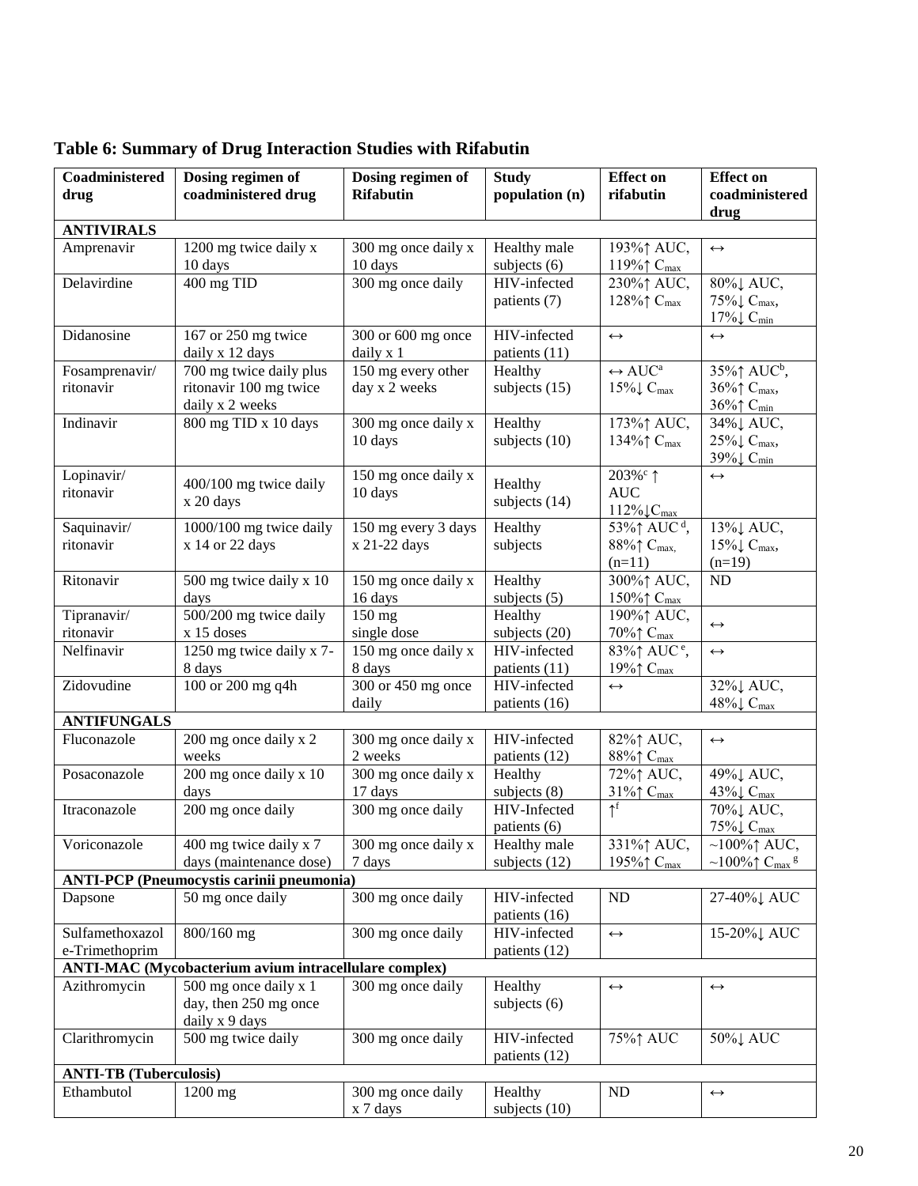| Coadministered                                               | Dosing regimen of                                | Dosing regimen of                                    | <b>Study</b>    | <b>Effect on</b>                   | <b>Effect on</b>                                  |
|--------------------------------------------------------------|--------------------------------------------------|------------------------------------------------------|-----------------|------------------------------------|---------------------------------------------------|
| drug                                                         | coadministered drug                              | <b>Rifabutin</b>                                     | population (n)  | rifabutin                          | coadministered                                    |
|                                                              |                                                  |                                                      |                 |                                    | drug                                              |
| <b>ANTIVIRALS</b>                                            |                                                  |                                                      |                 |                                    |                                                   |
| Amprenavir                                                   | 1200 mg twice daily x                            | 300 mg once daily x                                  | Healthy male    | 193% <sup>↑</sup> AUC,             | $\leftrightarrow$                                 |
|                                                              | 10 days                                          | 10 days                                              | subjects (6)    | 119% $\uparrow$ C <sub>max</sub>   |                                                   |
| Delavirdine                                                  | 400 mg TID                                       | 300 mg once daily                                    | HIV-infected    | 230%↑ AUC,                         | 80%↓ AUC,                                         |
|                                                              |                                                  |                                                      | patients (7)    | 128% $\uparrow$ C <sub>max</sub>   | 75%↓ C <sub>max</sub> ,                           |
|                                                              |                                                  |                                                      |                 |                                    | $17\% \downarrow C_{min}$                         |
| Didanosine                                                   | 167 or 250 mg twice                              | 300 or 600 mg once                                   | HIV-infected    | $\leftrightarrow$                  | $\leftrightarrow$                                 |
|                                                              | daily x 12 days                                  | daily x 1                                            | patients (11)   |                                    |                                                   |
| Fosamprenavir/                                               | 700 mg twice daily plus                          | 150 mg every other                                   | Healthy         | $\leftrightarrow$ AUC <sup>a</sup> | 35%↑ AUC <sup>b</sup> ,                           |
| ritonavir                                                    | ritonavir 100 mg twice                           | day x 2 weeks                                        | subjects $(15)$ | $15\% \downarrow C_{max}$          | 36%↑ C <sub>max</sub> ,                           |
|                                                              | daily x 2 weeks                                  |                                                      |                 |                                    | $36\%$ $\uparrow$ C <sub>min</sub>                |
| Indinavir                                                    | 800 mg TID x 10 days                             | 300 mg once daily x                                  | Healthy         | 173%↑ AUC,                         | 34%↓ AUC,                                         |
|                                                              |                                                  | 10 days                                              | subjects $(10)$ | 134%↑ C <sub>max</sub>             | 25% $\downarrow$ C <sub>max</sub> ,               |
|                                                              |                                                  |                                                      |                 |                                    | 39% $\downarrow$ C <sub>min</sub>                 |
| Lopinavir/                                                   | 400/100 mg twice daily                           | 150 mg once daily x                                  | Healthy         | 203% <sup>c</sup> 1                | $\leftrightarrow$                                 |
| ritonavir                                                    | x 20 days                                        | 10 days                                              | subjects (14)   | <b>AUC</b>                         |                                                   |
|                                                              |                                                  |                                                      |                 | $112\% \downarrow C_{max}$         |                                                   |
| Saquinavir/                                                  | 1000/100 mg twice daily                          | 150 mg every 3 days                                  | Healthy         | 53%↑ AUC <sup>d</sup> ,            | 13%↓ AUC,                                         |
| ritonavir                                                    | x 14 or 22 days                                  | x 21-22 days                                         | subjects        | 88%↑ C <sub>max</sub> ,            | $15\% \downarrow C_{max}$ ,                       |
|                                                              |                                                  |                                                      |                 | $(n=11)$                           | $(n=19)$                                          |
| Ritonavir                                                    | 500 mg twice daily x 10                          | 150 mg once daily x                                  | Healthy         | 300%↑ AUC,                         | ND                                                |
|                                                              | days                                             | 16 days                                              | subjects $(5)$  | 150% $\uparrow$ C <sub>max</sub>   |                                                   |
| Tipranavir/                                                  | 500/200 mg twice daily                           | 150 mg                                               | Healthy         | 190%† AUC,                         | $\leftrightarrow$                                 |
| ritonavir                                                    | $x 15$ doses                                     | single dose                                          | subjects (20)   | $70\%$ $\uparrow$ C <sub>max</sub> |                                                   |
| Nelfinavir                                                   | 1250 mg twice daily x 7-                         | 150 mg once daily x                                  | HIV-infected    | 83% $\uparrow$ AUC <sup>e</sup> ,  | $\leftrightarrow$                                 |
|                                                              | 8 days                                           | 8 days                                               | patients (11)   | 19% $\uparrow$ C <sub>max</sub>    |                                                   |
| Zidovudine                                                   | 100 or 200 mg q4h                                | 300 or 450 mg once                                   | HIV-infected    | $\leftrightarrow$                  | $32\%$ AUC,                                       |
|                                                              |                                                  | daily                                                | patients (16)   |                                    | 48% $\downarrow$ C <sub>max</sub>                 |
| <b>ANTIFUNGALS</b>                                           |                                                  |                                                      |                 |                                    |                                                   |
| Fluconazole                                                  | 200 mg once daily x 2                            | 300 mg once daily x                                  | HIV-infected    | 82%↑ AUC,                          | $\longleftrightarrow$                             |
|                                                              | weeks                                            | 2 weeks                                              | patients (12)   | 88%↑ C <sub>max</sub>              |                                                   |
| Posaconazole                                                 | 200 mg once daily x 10                           | 300 mg once daily x                                  | Healthy         | 72%↑ AUC,                          | 49%↓ AUC,                                         |
|                                                              | days                                             | 17 days                                              | subjects $(8)$  | 31% $\uparrow$ C <sub>max</sub>    | 43% $C_{\text{max}}$                              |
| Itraconazole                                                 | 200 mg once daily                                | 300 mg once daily                                    | HIV-Infected    | $\uparrow^f$                       | 70%↓ AUC,                                         |
|                                                              |                                                  |                                                      | patients (6)    |                                    | $75\% \downarrow C_{max}$                         |
| Voriconazole                                                 | 400 mg twice daily x 7                           | $\frac{300 \text{ mg}}{300 \text{ mg}}$ once daily x | Healthy male    | 331%↑ AUC,                         | $\sim$ 100% $\uparrow$ AUC,                       |
|                                                              | days (maintenance dose)                          | 7 days                                               | subjects (12)   | 195%↑ C <sub>max</sub>             | $~100\%$ $\uparrow$ C <sub>max</sub> <sup>g</sup> |
|                                                              | <b>ANTI-PCP</b> (Pneumocystis carinii pneumonia) |                                                      |                 |                                    |                                                   |
| Dapsone                                                      | 50 mg once daily                                 | 300 mg once daily                                    | HIV-infected    | ND                                 | 27-40% LAUC                                       |
|                                                              |                                                  |                                                      | patients (16)   |                                    |                                                   |
| Sulfamethoxazol                                              | 800/160 mg                                       | 300 mg once daily                                    | HIV-infected    | $\leftrightarrow$                  | 15-20%↓ AUC                                       |
| e-Trimethoprim                                               |                                                  |                                                      | patients (12)   |                                    |                                                   |
| <b>ANTI-MAC</b> (Mycobacterium avium intracellulare complex) |                                                  |                                                      |                 |                                    |                                                   |
| Azithromycin                                                 | 500 mg once daily x 1                            | 300 mg once daily                                    | Healthy         | $\leftrightarrow$                  | $\leftrightarrow$                                 |
|                                                              | day, then 250 mg once                            |                                                      | subjects $(6)$  |                                    |                                                   |
|                                                              | daily x 9 days                                   |                                                      |                 |                                    |                                                   |
| Clarithromycin                                               | 500 mg twice daily                               | 300 mg once daily                                    | HIV-infected    | 75%↑ AUC                           | 50%↓ AUC                                          |
|                                                              |                                                  |                                                      | patients (12)   |                                    |                                                   |
|                                                              | <b>ANTI-TB</b> (Tuberculosis)                    |                                                      |                 |                                    |                                                   |
| Ethambutol                                                   | 1200 mg                                          | 300 mg once daily                                    | Healthy         | ND                                 | $\leftrightarrow$                                 |
|                                                              |                                                  | x 7 days                                             | subjects (10)   |                                    |                                                   |

# **Table 6: Summary of Drug Interaction Studies with Rifabutin**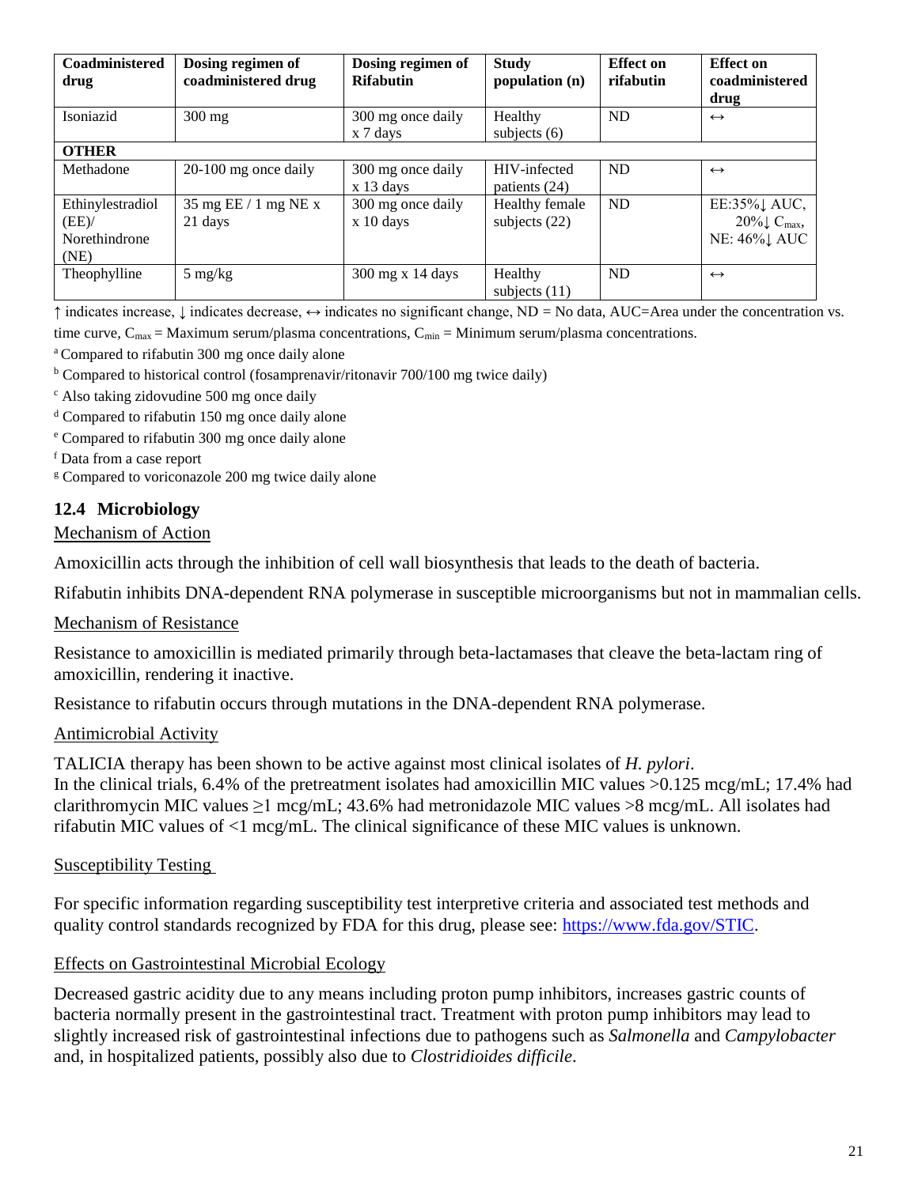| Coadministered<br>drug                            | Dosing regimen of<br>coadministered drug | Dosing regimen of<br><b>Rifabutin</b> | <b>Study</b><br>population (n)    | <b>Effect</b> on<br>rifabutin | <b>Effect</b> on<br>coadministered<br>drug                             |
|---------------------------------------------------|------------------------------------------|---------------------------------------|-----------------------------------|-------------------------------|------------------------------------------------------------------------|
| Isoniazid                                         | $300$ mg                                 | 300 mg once daily<br>x 7 days         | Healthy<br>subjects $(6)$         | <b>ND</b>                     | $\leftrightarrow$                                                      |
| <b>OTHER</b>                                      |                                          |                                       |                                   |                               |                                                                        |
| Methadone                                         | $20-100$ mg once daily                   | 300 mg once daily<br>$x$ 13 days      | HIV-infected<br>patients (24)     | ND                            | $\leftrightarrow$                                                      |
| Ethinylestradiol<br>(EE)<br>Norethindrone<br>(NE) | 35 mg EE / 1 mg NE x<br>21 days          | 300 mg once daily<br>x 10 days        | Healthy female<br>subjects $(22)$ | <b>ND</b>                     | EE:35%1 AUC,<br>$20\% \downarrow C_{\text{max}}$<br><b>NE: 46%</b> AUC |
| Theophylline                                      | $5 \text{ mg/kg}$                        | 300 mg x 14 days                      | Healthy<br>subjects $(11)$        | <b>ND</b>                     | $\leftrightarrow$                                                      |

↑ indicates increase, ↓ indicates decrease, ↔ indicates no significant change, ND = No data, AUC=Area under the concentration vs.

time curve,  $C_{\text{max}} = \text{Maximum}$  serum/plasma concentrations,  $C_{\text{min}} = \text{Minimum}$  serum/plasma concentrations.

<sup>a</sup> Compared to rifabutin 300 mg once daily alone

 $b$  Compared to historical control (fosamprenavir/ritonavir 700/100 mg twice daily)

<sup>c</sup> Also taking zidovudine 500 mg once daily

<sup>d</sup> Compared to rifabutin 150 mg once daily alone

<sup>e</sup> Compared to rifabutin 300 mg once daily alone

<sup>f</sup> Data from a case report

<sup>g</sup> Compared to voriconazole 200 mg twice daily alone

### **12.4 Microbiology**

#### Mechanism of Action

Amoxicillin acts through the inhibition of cell wall biosynthesis that leads to the death of bacteria.

Rifabutin inhibits DNA-dependent RNA polymerase in susceptible microorganisms but not in mammalian cells.

### Mechanism of Resistance

Resistance to amoxicillin is mediated primarily through beta-lactamases that cleave the beta-lactam ring of amoxicillin, rendering it inactive.

Resistance to rifabutin occurs through mutations in the DNA-dependent RNA polymerase.

### Antimicrobial Activity

TALICIA therapy has been shown to be active against most clinical isolates of *H. pylori*. In the clinical trials, 6.4% of the pretreatment isolates had amoxicillin MIC values  $>0.125$  mcg/mL; 17.4% had clarithromycin MIC values  $\geq 1$  mcg/mL; 43.6% had metronidazole MIC values  $>8$  mcg/mL. All isolates had rifabutin MIC values of <1 mcg/mL. The clinical significance of these MIC values is unknown.

### Susceptibility Testing

For specific information regarding susceptibility test interpretive criteria and associated test methods and quality control standards recognized by FDA for this drug, please see: [https://www.fda.gov/STIC.](https://www.fda.gov/STIC)

### Effects on Gastrointestinal Microbial Ecology

Decreased gastric acidity due to any means including proton pump inhibitors, increases gastric counts of bacteria normally present in the gastrointestinal tract. Treatment with proton pump inhibitors may lead to slightly increased risk of gastrointestinal infections due to pathogens such as *Salmonella* and *Campylobacter* and, in hospitalized patients, possibly also due to *Clostridioides difficile*.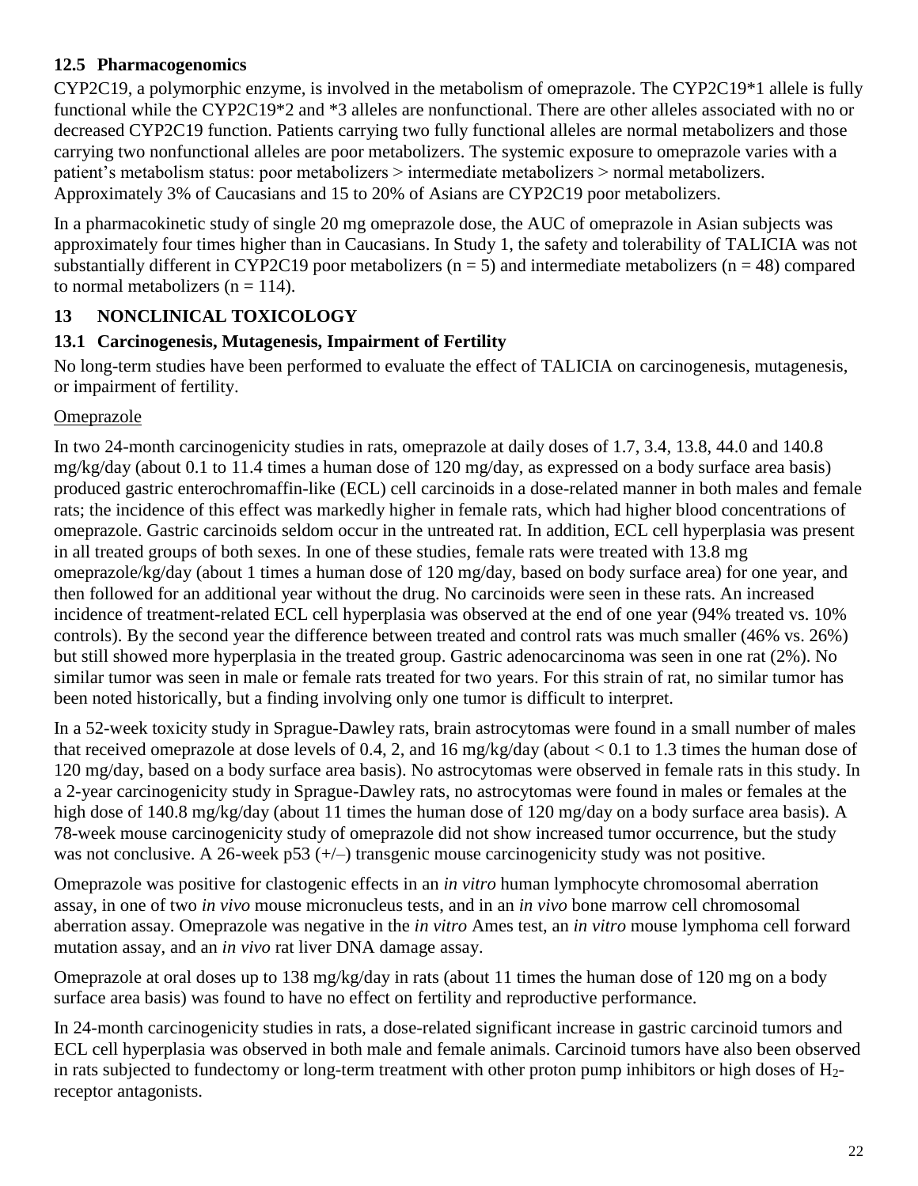## **12.5 Pharmacogenomics**

CYP2C19, a polymorphic enzyme, is involved in the metabolism of omeprazole. The CYP2C19\*1 allele is fully functional while the CYP2C19\*2 and \*3 alleles are nonfunctional. There are other alleles associated with no or decreased CYP2C19 function. Patients carrying two fully functional alleles are normal metabolizers and those carrying two nonfunctional alleles are poor metabolizers. The systemic exposure to omeprazole varies with a patient's metabolism status: poor metabolizers > intermediate metabolizers > normal metabolizers. Approximately 3% of Caucasians and 15 to 20% of Asians are CYP2C19 poor metabolizers.

In a pharmacokinetic study of single 20 mg omeprazole dose, the AUC of omeprazole in Asian subjects was approximately four times higher than in Caucasians. In Study 1, the safety and tolerability of TALICIA was not substantially different in CYP2C19 poor metabolizers ( $n = 5$ ) and intermediate metabolizers ( $n = 48$ ) compared to normal metabolizers ( $n = 114$ ).

# **13 NONCLINICAL TOXICOLOGY**

## **13.1 Carcinogenesis, Mutagenesis, Impairment of Fertility**

No long-term studies have been performed to evaluate the effect of TALICIA on carcinogenesis, mutagenesis, or impairment of fertility.

## Omeprazole

In two 24-month carcinogenicity studies in rats, omeprazole at daily doses of 1.7, 3.4, 13.8, 44.0 and 140.8 mg/kg/day (about 0.1 to 11.4 times a human dose of 120 mg/day, as expressed on a body surface area basis) produced gastric enterochromaffin-like (ECL) cell carcinoids in a dose-related manner in both males and female rats; the incidence of this effect was markedly higher in female rats, which had higher blood concentrations of omeprazole. Gastric carcinoids seldom occur in the untreated rat. In addition, ECL cell hyperplasia was present in all treated groups of both sexes. In one of these studies, female rats were treated with 13.8 mg omeprazole/kg/day (about 1 times a human dose of 120 mg/day, based on body surface area) for one year, and then followed for an additional year without the drug. No carcinoids were seen in these rats. An increased incidence of treatment-related ECL cell hyperplasia was observed at the end of one year (94% treated vs. 10% controls). By the second year the difference between treated and control rats was much smaller (46% vs. 26%) but still showed more hyperplasia in the treated group. Gastric adenocarcinoma was seen in one rat (2%). No similar tumor was seen in male or female rats treated for two years. For this strain of rat, no similar tumor has been noted historically, but a finding involving only one tumor is difficult to interpret.

In a 52-week toxicity study in Sprague-Dawley rats, brain astrocytomas were found in a small number of males that received omeprazole at dose levels of 0.4, 2, and 16 mg/kg/day (about < 0.1 to 1.3 times the human dose of 120 mg/day, based on a body surface area basis). No astrocytomas were observed in female rats in this study. In a 2-year carcinogenicity study in Sprague-Dawley rats, no astrocytomas were found in males or females at the high dose of 140.8 mg/kg/day (about 11 times the human dose of 120 mg/day on a body surface area basis). A 78-week mouse carcinogenicity study of omeprazole did not show increased tumor occurrence, but the study was not conclusive. A 26-week p53 (+/-) transgenic mouse carcinogenicity study was not positive.

Omeprazole was positive for clastogenic effects in an *in vitro* human lymphocyte chromosomal aberration assay, in one of two *in vivo* mouse micronucleus tests, and in an *in vivo* bone marrow cell chromosomal aberration assay. Omeprazole was negative in the *in vitro* Ames test, an *in vitro* mouse lymphoma cell forward mutation assay, and an *in vivo* rat liver DNA damage assay.

Omeprazole at oral doses up to 138 mg/kg/day in rats (about 11 times the human dose of 120 mg on a body surface area basis) was found to have no effect on fertility and reproductive performance.

In 24-month carcinogenicity studies in rats, a dose-related significant increase in gastric carcinoid tumors and ECL cell hyperplasia was observed in both male and female animals. Carcinoid tumors have also been observed in rats subjected to fundectomy or long-term treatment with other proton pump inhibitors or high doses of H2 receptor antagonists.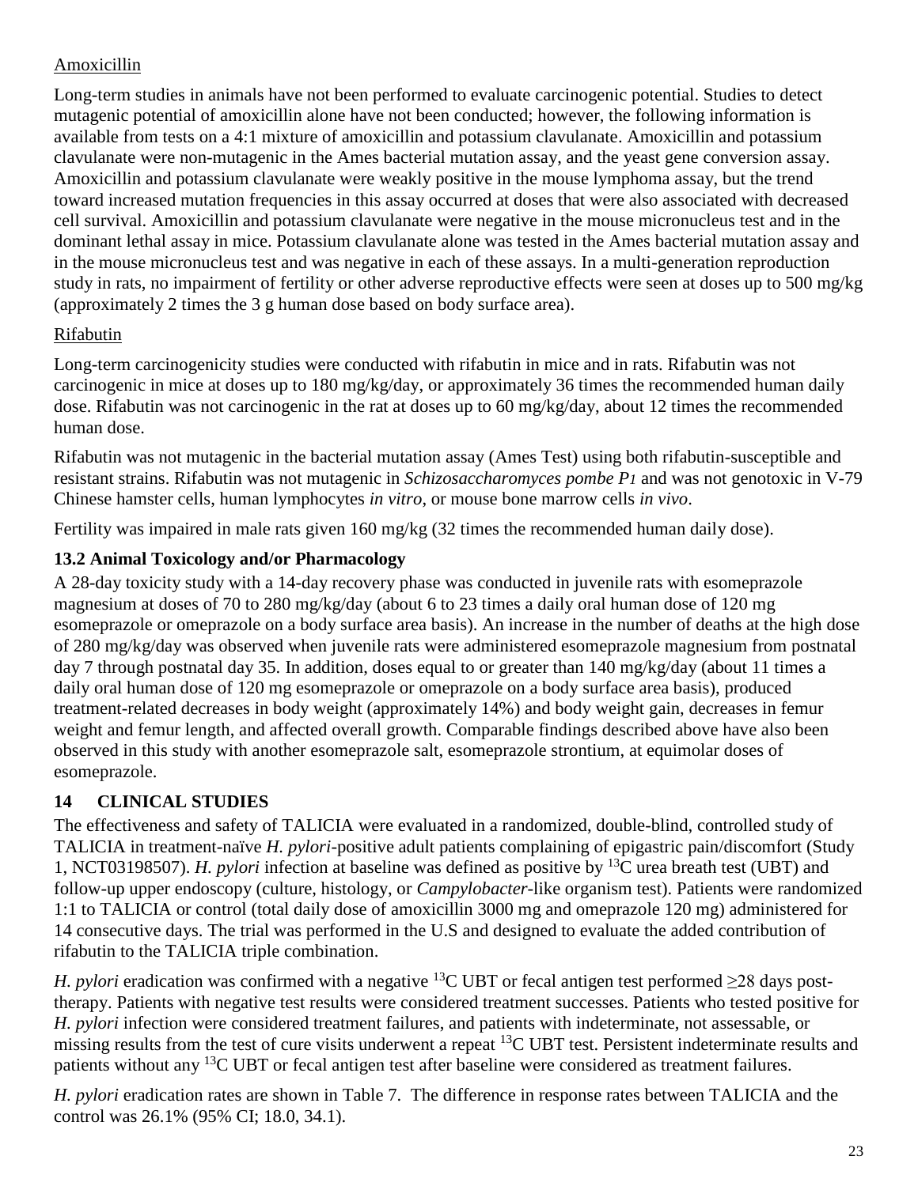## Amoxicillin

Long-term studies in animals have not been performed to evaluate carcinogenic potential. Studies to detect mutagenic potential of amoxicillin alone have not been conducted; however, the following information is available from tests on a 4:1 mixture of amoxicillin and potassium clavulanate. Amoxicillin and potassium clavulanate were non-mutagenic in the Ames bacterial mutation assay, and the yeast gene conversion assay. Amoxicillin and potassium clavulanate were weakly positive in the mouse lymphoma assay, but the trend toward increased mutation frequencies in this assay occurred at doses that were also associated with decreased cell survival. Amoxicillin and potassium clavulanate were negative in the mouse micronucleus test and in the dominant lethal assay in mice. Potassium clavulanate alone was tested in the Ames bacterial mutation assay and in the mouse micronucleus test and was negative in each of these assays. In a multi-generation reproduction study in rats, no impairment of fertility or other adverse reproductive effects were seen at doses up to 500 mg/kg (approximately 2 times the 3 g human dose based on body surface area).

## Rifabutin

Long-term carcinogenicity studies were conducted with rifabutin in mice and in rats. Rifabutin was not carcinogenic in mice at doses up to 180 mg/kg/day, or approximately 36 times the recommended human daily dose. Rifabutin was not carcinogenic in the rat at doses up to 60 mg/kg/day, about 12 times the recommended human dose.

Rifabutin was not mutagenic in the bacterial mutation assay (Ames Test) using both rifabutin-susceptible and resistant strains. Rifabutin was not mutagenic in *Schizosaccharomyces pombe P1* and was not genotoxic in V-79 Chinese hamster cells, human lymphocytes *in vitro*, or mouse bone marrow cells *in vivo*.

Fertility was impaired in male rats given 160 mg/kg (32 times the recommended human daily dose).

# **13.2 Animal Toxicology and/or Pharmacology**

A 28-day toxicity study with a 14-day recovery phase was conducted in juvenile rats with esomeprazole magnesium at doses of 70 to 280 mg/kg/day (about 6 to 23 times a daily oral human dose of 120 mg esomeprazole or omeprazole on a body surface area basis). An increase in the number of deaths at the high dose of 280 mg/kg/day was observed when juvenile rats were administered esomeprazole magnesium from postnatal day 7 through postnatal day 35. In addition, doses equal to or greater than 140 mg/kg/day (about 11 times a daily oral human dose of 120 mg esomeprazole or omeprazole on a body surface area basis), produced treatment-related decreases in body weight (approximately 14%) and body weight gain, decreases in femur weight and femur length, and affected overall growth. Comparable findings described above have also been observed in this study with another esomeprazole salt, esomeprazole strontium, at equimolar doses of esomeprazole.

# **14 CLINICAL STUDIES**

The effectiveness and safety of TALICIA were evaluated in a randomized, double-blind, controlled study of TALICIA in treatment-naïve *H. pylori*-positive adult patients complaining of epigastric pain/discomfort (Study 1, NCT03198507). *H. pylori* infection at baseline was defined as positive by <sup>13</sup>C urea breath test (UBT) and follow-up upper endoscopy (culture, histology, or *Campylobacter*-like organism test). Patients were randomized 1:1 to TALICIA or control (total daily dose of amoxicillin 3000 mg and omeprazole 120 mg) administered for 14 consecutive days. The trial was performed in the U.S and designed to evaluate the added contribution of rifabutin to the TALICIA triple combination.

*H. pylori* eradication was confirmed with a negative <sup>13</sup>C UBT or fecal antigen test performed  $\geq$ 28 days posttherapy. Patients with negative test results were considered treatment successes. Patients who tested positive for *H. pylori* infection were considered treatment failures, and patients with indeterminate, not assessable, or missing results from the test of cure visits underwent a repeat <sup>13</sup>C UBT test. Persistent indeterminate results and patients without any <sup>13</sup>C UBT or fecal antigen test after baseline were considered as treatment failures.

*H. pylori* eradication rates are shown in Table 7. The difference in response rates between TALICIA and the control was 26.1% (95% CI; 18.0, 34.1).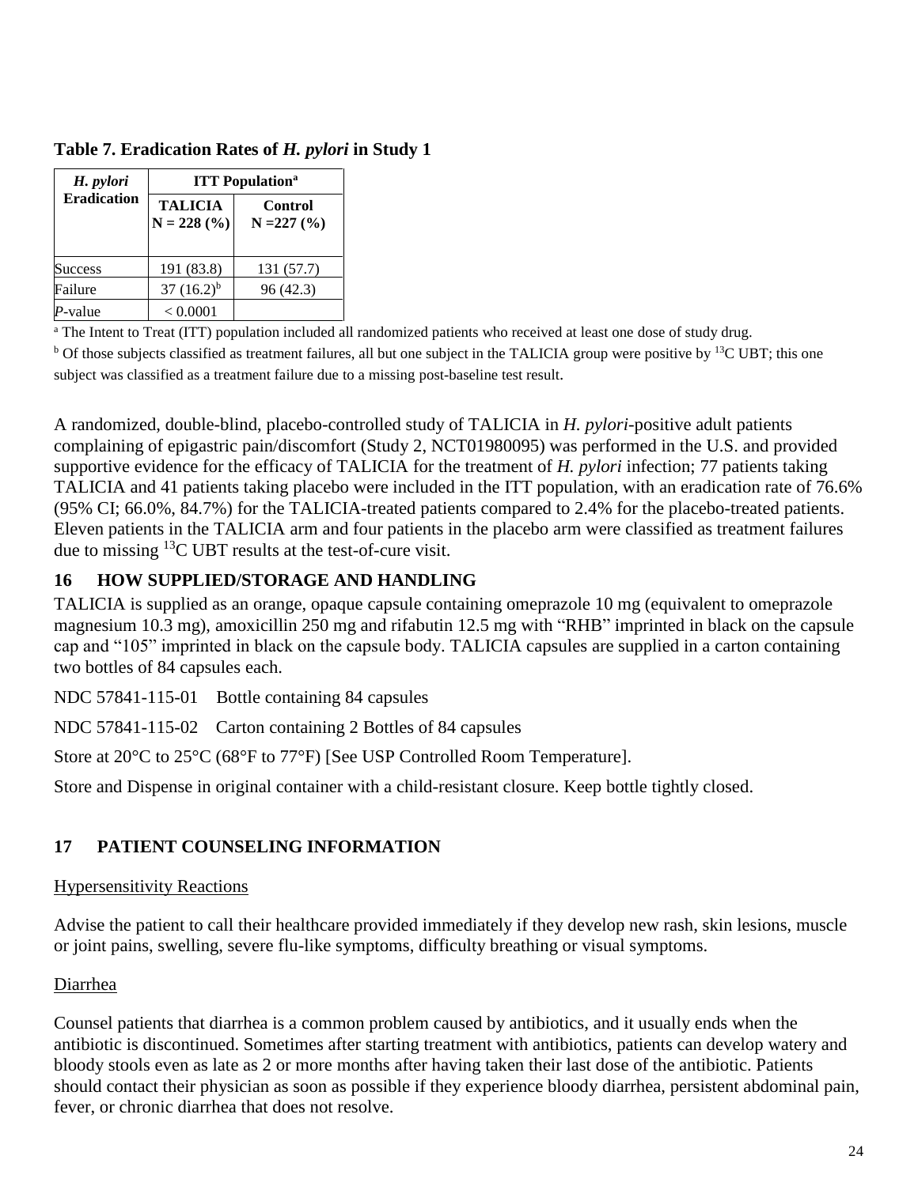| H. pylori          | <b>ITT</b> Population <sup>a</sup> |                          |  |  |
|--------------------|------------------------------------|--------------------------|--|--|
| <b>Eradication</b> | <b>TALICIA</b><br>$N = 228$ (%)    | Control<br>$N = 227 (%)$ |  |  |
| <b>Success</b>     | 191 (83.8)                         | 131 (57.7)               |  |  |
| Failure            | $37(16.2)^{b}$                     | 96 (42.3)                |  |  |
| P-value            | < 0.0001                           |                          |  |  |

**Table 7. Eradication Rates of** *H. pylori* **in Study 1**

<sup>a</sup> The Intent to Treat (ITT) population included all randomized patients who received at least one dose of study drug. <sup>b</sup> Of those subjects classified as treatment failures, all but one subject in the TALICIA group were positive by <sup>13</sup>C UBT; this one subject was classified as a treatment failure due to a missing post-baseline test result.

A randomized, double-blind, placebo-controlled study of TALICIA in *H. pylori*-positive adult patients complaining of epigastric pain/discomfort (Study 2, NCT01980095) was performed in the U.S. and provided supportive evidence for the efficacy of TALICIA for the treatment of *H. pylori* infection; 77 patients taking TALICIA and 41 patients taking placebo were included in the ITT population, with an eradication rate of 76.6% (95% CI; 66.0%, 84.7%) for the TALICIA-treated patients compared to 2.4% for the placebo-treated patients. Eleven patients in the TALICIA arm and four patients in the placebo arm were classified as treatment failures due to missing  $^{13}$ C UBT results at the test-of-cure visit.

# **16 HOW SUPPLIED/STORAGE AND HANDLING**

TALICIA is supplied as an orange, opaque capsule containing omeprazole 10 mg (equivalent to omeprazole magnesium 10.3 mg), amoxicillin 250 mg and rifabutin 12.5 mg with "RHB" imprinted in black on the capsule cap and "105" imprinted in black on the capsule body. TALICIA capsules are supplied in a carton containing two bottles of 84 capsules each.

NDC 57841-115-01 Bottle containing 84 capsules

NDC 57841-115-02 Carton containing 2 Bottles of 84 capsules

Store at 20°C to 25°C (68°F to 77°F) [See USP Controlled Room Temperature].

Store and Dispense in original container with a child-resistant closure. Keep bottle tightly closed.

# **17 PATIENT COUNSELING INFORMATION**

## Hypersensitivity Reactions

Advise the patient to call their healthcare provided immediately if they develop new rash, skin lesions, muscle or joint pains, swelling, severe flu-like symptoms, difficulty breathing or visual symptoms.

## Diarrhea

Counsel patients that diarrhea is a common problem caused by antibiotics, and it usually ends when the antibiotic is discontinued. Sometimes after starting treatment with antibiotics, patients can develop watery and bloody stools even as late as 2 or more months after having taken their last dose of the antibiotic. Patients should contact their physician as soon as possible if they experience bloody diarrhea, persistent abdominal pain, fever, or chronic diarrhea that does not resolve.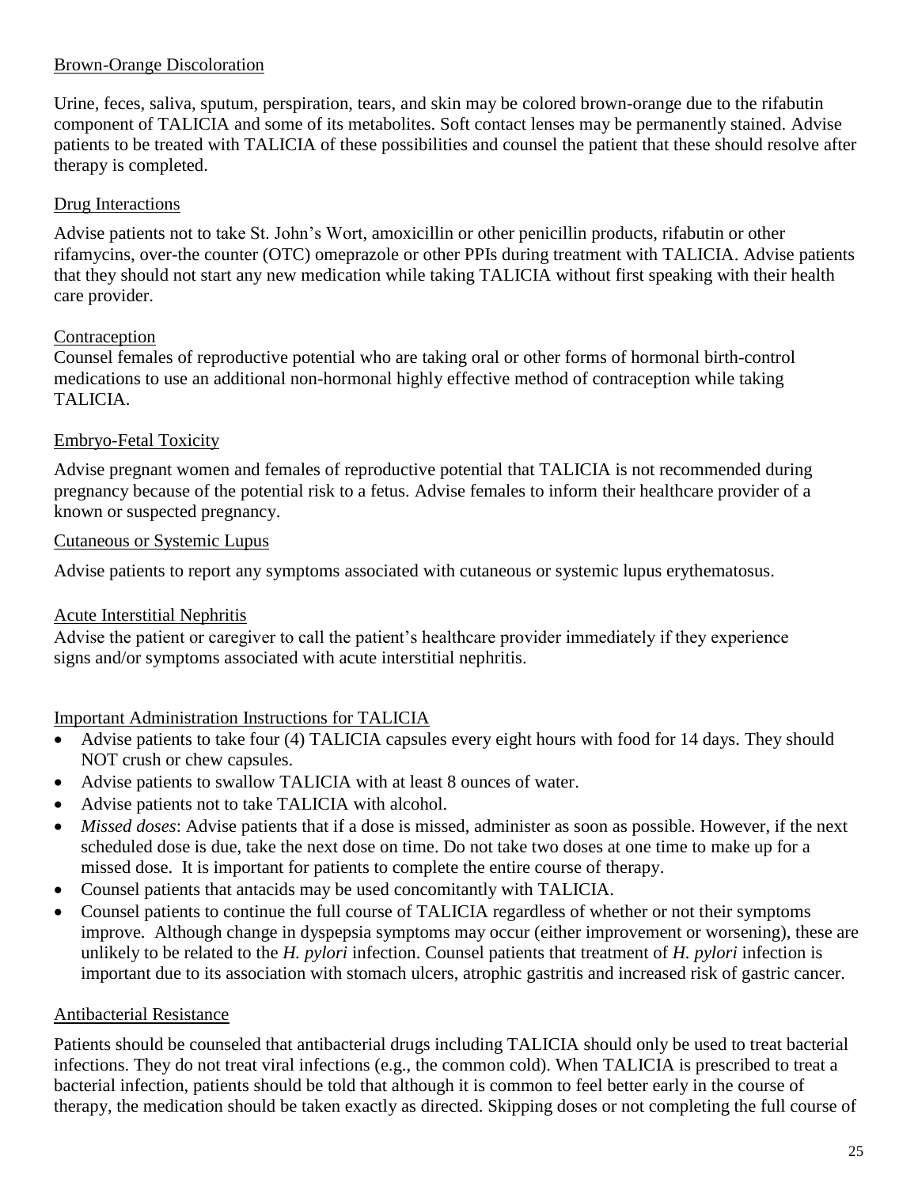## Brown-Orange Discoloration

Urine, feces, saliva, sputum, perspiration, tears, and skin may be colored brown-orange due to the rifabutin component of TALICIA and some of its metabolites. Soft contact lenses may be permanently stained. Advise patients to be treated with TALICIA of these possibilities and counsel the patient that these should resolve after therapy is completed.

## Drug Interactions

Advise patients not to take St. John's Wort, amoxicillin or other penicillin products, rifabutin or other rifamycins, over-the counter (OTC) omeprazole or other PPIs during treatment with TALICIA. Advise patients that they should not start any new medication while taking TALICIA without first speaking with their health care provider.

## Contraception

Counsel females of reproductive potential who are taking oral or other forms of hormonal birth-control medications to use an additional non-hormonal highly effective method of contraception while taking TALICIA.

## Embryo-Fetal Toxicity

Advise pregnant women and females of reproductive potential that TALICIA is not recommended during pregnancy because of the potential risk to a fetus. Advise females to inform their healthcare provider of a known or suspected pregnancy.

### Cutaneous or Systemic Lupus

Advise patients to report any symptoms associated with cutaneous or systemic lupus erythematosus.

## Acute Interstitial Nephritis

Advise the patient or caregiver to call the patient's healthcare provider immediately if they experience signs and/or symptoms associated with acute interstitial nephritis.

## Important Administration Instructions for TALICIA

- Advise patients to take four (4) TALICIA capsules every eight hours with food for 14 days. They should NOT crush or chew capsules.
- Advise patients to swallow TALICIA with at least 8 ounces of water.
- Advise patients not to take TALICIA with alcohol.
- *Missed doses*: Advise patients that if a dose is missed, administer as soon as possible. However, if the next scheduled dose is due, take the next dose on time. Do not take two doses at one time to make up for a missed dose. It is important for patients to complete the entire course of therapy.
- Counsel patients that antacids may be used concomitantly with TALICIA.
- Counsel patients to continue the full course of TALICIA regardless of whether or not their symptoms improve. Although change in dyspepsia symptoms may occur (either improvement or worsening), these are unlikely to be related to the *H. pylori* infection. Counsel patients that treatment of *H. pylori* infection is important due to its association with stomach ulcers, atrophic gastritis and increased risk of gastric cancer.

## Antibacterial Resistance

Patients should be counseled that antibacterial drugs including TALICIA should only be used to treat bacterial infections. They do not treat viral infections (e.g., the common cold). When TALICIA is prescribed to treat a bacterial infection, patients should be told that although it is common to feel better early in the course of therapy, the medication should be taken exactly as directed. Skipping doses or not completing the full course of